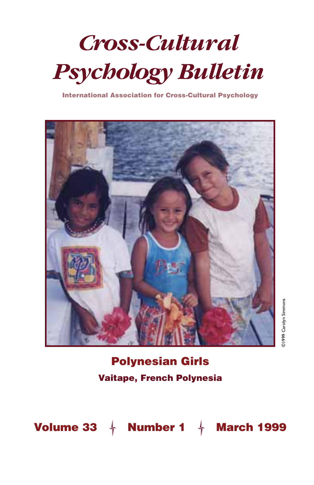# *Cross-Cultural Psychology Bulletin*

International Association for Cross-Cultural Psychology



### Polynesian Girls Vaitape, French Polynesia

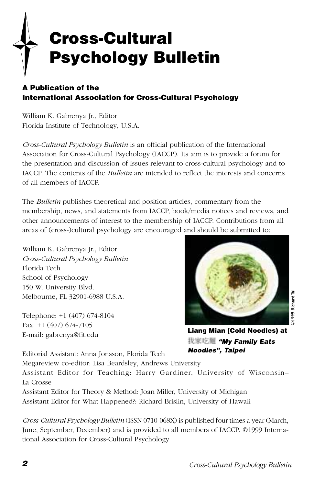# Cross-Cultural Psychology Bulletin

#### A Publication of the International Association for Cross-Cultural Psychology

William K. Gabrenya Jr., Editor Florida Institute of Technology, U.S.A.

*Cross-Cultural Psychology Bulletin* is an official publication of the International Association for Cross-Cultural Psychology (IACCP). Its aim is to provide a forum for the presentation and discussion of issues relevant to cross-cultural psychology and to IACCP. The contents of the *Bulletin* are intended to reflect the interests and concerns of all members of IACCP.

The *Bulletin* publishes theoretical and position articles, commentary from the membership, news, and statements from IACCP, book/media notices and reviews, and other announcements of interest to the membership of IACCP. Contributions from all areas of (cross-)cultural psychology are encouraged and should be submitted to:

William K. Gabrenya Jr., Editor *Cross-Cultural Psychology Bulletin* Florida Tech School of Psychology 150 W. University Blvd. Melbourne, FL 32901-6988 U.S.A.

Telephone: +1 (407) 674-8104 Fax: +1 (407) 674-7105 E-mail: gabrenya@fit.edu



Liang Mian (Cold Noodles) at 我家吃麵 "My Family Eats Noodles", Taipei

Editorial Assistant: Anna Jonsson, Florida Tech

Megareview co-editor: Lisa Beardsley, Andrews University

Assistant Editor for Teaching: Harry Gardiner, University of Wisconsin– La Crosse

Assistant Editor for Theory & Method: Joan Miller, University of Michigan Assistant Editor for What Happened?: Richard Brislin, University of Hawaii

*Cross-Cultural Psychology Bulletin* (ISSN 0710-068X) is published four times a year (March, June, September, December) and is provided to all members of IACCP. ©1999 International Association for Cross-Cultural Psychology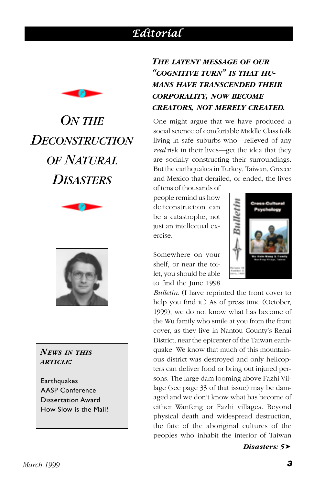### *Editorial Editorial*

<span id="page-2-0"></span>

# *ON THE DECONSTRUCTION OF NATURAL DISASTERS*





#### *NEWS IN THIS ARTICLE:*

**Earthquakes** AASP Conference Dissertation Award How Slow is the Mail?

### *THE LATENT MESSAGE OF OUR "COGNITIVE TURN" IS THAT HU-MANS HAVE TRANSCENDED THEIR CORPORALITY, NOW BECOME CREATORS, NOT MERELY CREATED.*

One might argue that we have produced a social science of comfortable Middle Class folk living in safe suburbs who—relieved of any *real* risk in their lives—get the idea that they are socially constructing their surroundings. But the earthquakes in Turkey, Taiwan, Greece and Mexico that derailed, or ended, the lives

of tens of thousands of people remind us how de+construction can be a catastrophe, not just an intellectual exercise.

Somewhere on your shelf, or near the toilet, you should be able to find the June 1998



*Bulletin*. (I have reprinted the front cover to help you find it.) As of press time (October, 1999), we do not know what has become of the Wu family who smile at you from the front cover, as they live in Nantou County's Renai District, near the epicenter of the Taiwan earthquake. We know that much of this mountainous district was destroyed and only helicopters can deliver food or bring out injured persons. The large dam looming above Fazhi Village (see page 33 of that issue) may be damaged and we don't know what has become of either Wanfeng or Fazhi villages. Beyond physical death and widespread destruction, the fate of the aboriginal cultures of the peoples who inhabit the interior of Taiwan

*Disasters: 5*➤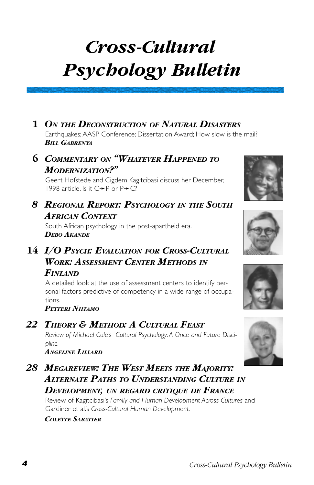# *Cross-Cultural Psychology Bulletin*

### **1** *ON THE DECONSTRUCTION OF NATURAL DISASTERS*

Earthquakes: AASP Conference: Dissertation Award: How slow is the mail? *BILL GABRENYA*

### **6** *COMMENTARY ON "WHATEVER HAPPENED TO MODERNIZATION?"*

[Geert Hofstede and Cigdem Kagitcibasi discuss her December,](#page-7-0) 1998 article. Is it C➛P or P➛C?

### *[8 REGIONAL REPORT: PSYCHOLOGY](#page-9-0) IN THE SOUTH AFRICAN CONTEXT*

South African psychology in the post-apartheid era. *DEBO AKANDE*

### **14** *I/O PSYCH: EVALUATION FOR CROSS-CULTURAL [WORK: ASSESSMENT CENTER METHODS](#page-15-0) IN FINLAND*

A detailed look at the use of assessment centers to identify personal factors predictive of competency in a wide range of occupations.

*PETTERI NIITAMO*

### *[22 THEORY & METHOD: A CULTURAL FEAST](#page-23-0)*

*Review of Michael Cole's Cultural Psychology: A Once and Future Discipline.*

*ANGELINE LILLARD*

*[28 MEGAREVIEW: THE WEST MEETS](#page-29-0) THE MAJORITY: ALTERNATE PATHS TO UNDERSTANDING CULTURE IN DEVELOPMENT, UN REGARD CRITIQUE DE FRANCE*

Review of Kagitcibasi's *Family and Human Development Across Cultures* and Gardiner et al.'s *Cross-Cultural Human Development.*

#### *COLETTE SABATIER*







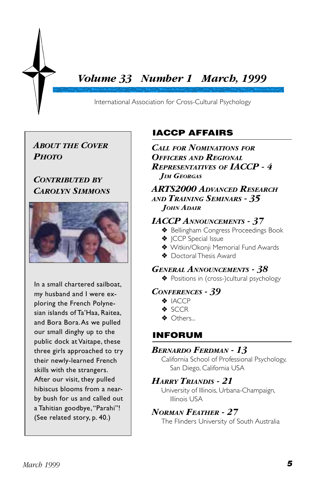### *Volume 33 Number 1 March, 1999*

International Association for Cross-Cultural Psychology

### *ABOUT THE COVER PHOTO*

#### *CONTRIBUTED BY CAROLYN SIMMONS*



In a small chartered sailboat, my husband and I were exploring the French Polynesian islands of Ta'Haa, Raitea, and Bora Bora. As we pulled our small dinghy up to the public dock at Vaitape, these three girls approached to try their newly-learned French skills with the strangers. After our visit, they pulled hibiscus blooms from a nearby bush for us and called out a Tahitian goodbye, "Parahi"! [\(See related story, p. 40.\)](#page-41-0)

### IACCP AFFAIRS

*CALL [FOR NOMINATIONS](#page-5-0) FOR OFFICERS AND REGIONAL REPRESENTATIVES OF IACCP - 4 JIM GEORGAS*

*[ARTS2000 ADVANCED RESEARCH](#page-36-0) AND TRAINING SEMINARS - 35 JOHN ADAIR*

#### *[IACCP ANNOUNCEMENTS - 37](#page-38-0)*

- ❖ Bellingham Congress Proceedings Book
- ❖ JCCP Special Issue
- ◆ Witkin/Okonii Memorial Fund Awards
- ❖ Doctoral Thesis Award

#### *[GENERAL ANNOUNCEMENTS - 38](#page-39-0)*

❖ Positions in (cross-)cultural psychology

#### *[CONFERENCES - 39](#page-40-0)*

- ❖ IACCP
- ❖ SCCR
- ❖ Others...

### INFORUM

#### *[BERNARDO FERDMAN - 13](#page-14-0)*

California School of Professional Psychology, San Diego, California USA

#### *HARRY TRIANDIS - 21*

[University of Illinois, Urbana-Champaign,](#page-22-0) Illinois USA

#### *NORMAN FEATHER - 27*

[The Flinders University of South Australia](#page-28-0)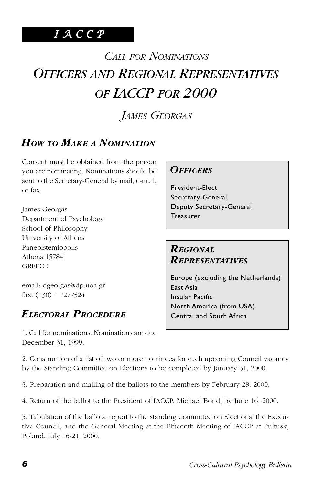### <span id="page-5-0"></span>*I A C C P*

# *CALL FOR NOMINATIONS OFFICERS AND REGIONAL REPRESENTATIVES OF IACCP FOR 2000*

*JAMES GEORGAS*

### *HOW TO MAKE A NOMINATION*

Consent must be obtained from the person you are nominating. Nominations should be sent to the Secretary-General by mail, e-mail, or fax:

James Georgas Department of Psychology School of Philosophy University of Athens Panepistemiopolis Athens 15784 **GREECE** 

email: dgeorgas@dp.uoa.gr fax: (+30) 1 7277524

### *ELECTORAL PROCEDURE*

#### *OFFICERS*

President-Elect Secretary-General Deputy Secretary-General **Treasurer** 

### *REGIONAL REPRESENTATIVES*

Europe (excluding the Netherlands) East Asia Insular Pacific North America (from USA) Central and South Africa

1. Call for nominations. Nominations are due December 31, 1999.

2. Construction of a list of two or more nominees for each upcoming Council vacancy by the Standing Committee on Elections to be completed by January 31, 2000.

3. Preparation and mailing of the ballots to the members by February 28, 2000.

4. Return of the ballot to the President of IACCP, Michael Bond, by June 16, 2000.

5. Tabulation of the ballots, report to the standing Committee on Elections, the Executive Council, and the General Meeting at the Fifteenth Meeting of IACCP at Pultusk, Poland, July 16-21, 2000.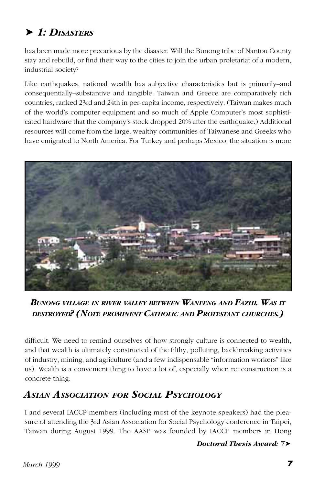### ➤ *1: DISASTERS*

has been made more precarious by the disaster. Will the Bunong tribe of Nantou County stay and rebuild, or find their way to the cities to join the urban proletariat of a modern, industrial society?

Like earthquakes, national wealth has subjective characteristics but is primarily–and consequentially–substantive and tangible. Taiwan and Greece are comparatively rich countries, ranked 23rd and 24th in per-capita income, respectively. (Taiwan makes much of the world's computer equipment and so much of Apple Computer's most sophisticated hardware that the company's stock dropped 20% after the earthquake.) Additional resources will come from the large, wealthy communities of Taiwanese and Greeks who have emigrated to North America. For Turkey and perhaps Mexico, the situation is more



*BUNONG VILLAGE IN RIVER VALLEY BETWEEN WANFENG AND FAZHI. WAS IT DESTROYED? (NOTE PROMINENT CATHOLIC AND PROTESTANT CHURCHES.)*

difficult. We need to remind ourselves of how strongly culture is connected to wealth, and that wealth is ultimately constructed of the filthy, polluting, backbreaking activities of industry, mining, and agriculture (and a few indispensable "information workers" like us). Wealth is a convenient thing to have a lot of, especially when re+construction is a concrete thing.

### *ASIAN ASSOCIATION FOR SOCIAL PSYCHOLOGY*

I and several IACCP members (including most of the keynote speakers) had the pleasure of attending the 3rd Asian Association for Social Psychology conference in Taipei, Taiwan during August 1999. The AASP was founded by IACCP members in Hong

*Doctoral Thesis Award: 7*➤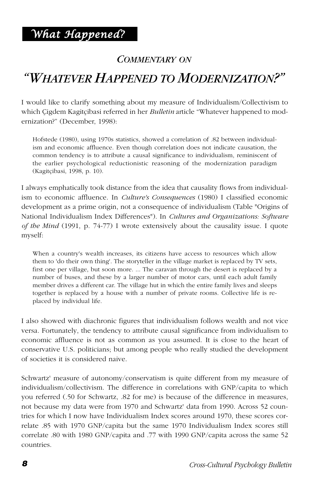### *COMMENTARY ON*

### <span id="page-7-0"></span>*"WHATEVER HAPPENED TO MODERNIZATION?"*

I would like to clarify something about my measure of Individualism/Collectivism to which Çigdem Kagitçibasi referred in her *Bulletin* article "Whatever happened to modernization?" (December, 1998):

Hofstede (1980), using 1970s statistics, showed a correlation of .82 between individualism and economic affluence. Even though correlation does not indicate causation, the common tendency is to attribute a causal significance to individualism, reminiscent of the earlier psychological reductionistic reasoning of the modernization paradigm (Kagitçibasi, 1998, p. 10).

I always emphatically took distance from the idea that causality flows from individualism to economic affluence. In *Culture's Consequences* (1980) I classified economic development as a prime origin, not a consequence of individualism (Table "Origins of National Individualism Index Differences"). In *Cultures and Organizations: Software of the Mind* (1991, p. 74-77) I wrote extensively about the causality issue. I quote myself:

When a country's wealth increases, its citizens have access to resources which allow them to 'do their own thing'. The storyteller in the village market is replaced by TV sets, first one per village, but soon more. ... The caravan through the desert is replaced by a number of buses, and these by a larger number of motor cars, until each adult family member drives a different car. The village hut in which the entire family lives and sleeps together is replaced by a house with a number of private rooms. Collective life is replaced by individual life.

I also showed with diachronic figures that individualism follows wealth and not vice versa. Fortunately, the tendency to attribute causal significance from individualism to economic affluence is not as common as you assumed. It is close to the heart of conservative U.S. politicians; but among people who really studied the development of societies it is considered naive.

Schwartz' measure of autonomy/conservatism is quite different from my measure of individualism/collectivism. The difference in correlations with GNP/capita to which you referred (.50 for Schwartz, .82 for me) is because of the difference in measures, not because my data were from 1970 and Schwartz' data from 1990. Across 52 countries for which I now have Individualism Index scores around 1970, these scores correlate .85 with 1970 GNP/capita but the same 1970 Individualism Index scores still correlate .80 with 1980 GNP/capita and .77 with 1990 GNP/capita across the same 52 countries.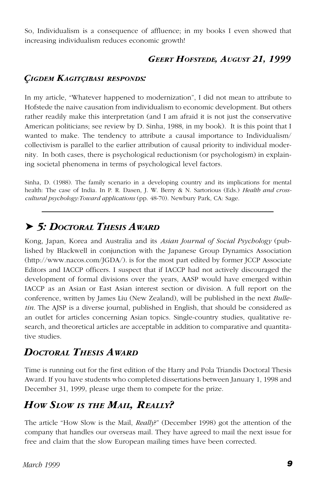So, Individualism is a consequence of affluence; in my books I even showed that increasing individualism reduces economic growth!

### *GEERT HOFSTEDE, AUGUST 21, 1999*

### *ÇIGDEM KAGITÇIBASI RESPONDS:*

In my article, "Whatever happened to modernization", I did not mean to attribute to Hofstede the naive causation from individualism to economic development. But others rather readily make this interpretation (and I am afraid it is not just the conservative American politicians; see review by D. Sinha, 1988, in my book). It is this point that I wanted to make. The tendency to attribute a causal importance to Individualism/ collectivism is parallel to the earlier attribution of causal priority to individual modernity. In both cases, there is psychological reductionism (or psychologism) in explaining societal phenomena in terms of psychological level factors.

Sinha, D. (1988). The family scenario in a developing country and its implications for mental health: The case of India. In P. R. Dasen, J. W. Berry & N. Sartorious (Eds.) *Health and crosscultural psychology:Toward applications* (pp. 48-70). Newbury Park, CA: Sage.

### ➤ *5: DOCTORAL THESIS AWARD*

Kong, Japan, Korea and Australia and its *Asian Journal of Social Psychology* (published by Blackwell in conjunction with the Japanese Group Dynamics Association (http://www.nacos.com/JGDA/). is for the most part edited by former JCCP Associate Editors and IACCP officers. I suspect that if IACCP had not actively discouraged the development of formal divisions over the years, AASP would have emerged within IACCP as an Asian or East Asian interest section or division. A full report on the conference, written by James Liu (New Zealand), will be published in the next *Bulletin*. The AJSP is a diverse journal, published in English, that should be considered as an outlet for articles concerning Asian topics. Single-country studies, qualitative research, and theoretical articles are acceptable in addition to comparative and quantitative studies.

### *DOCTORAL THESIS AWARD*

Time is running out for the first edition of the Harry and Pola Triandis Doctoral Thesis Award. If you have students who completed dissertations between January 1, 1998 and December 31, 1999, please urge them to compete for the prize.

### *HOW SLOW IS THE MAIL, REALLY?*

The article "How Slow is the Mail, *Really*?" (December 1998) got the attention of the company that handles our overseas mail. They have agreed to mail the next issue for free and claim that the slow European mailing times have been corrected.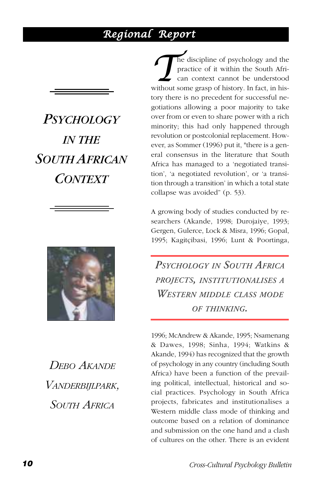### <span id="page-9-0"></span>*Regional Report*

*PSYCHOLOGY IN THE SOUTH AFRICAN CONTEXT*



*DEBO AKANDE VANDERBIJLPARK, SOUTH AFRICA*

**The discipline of psychology and the practice of it within the South African context cannot be understood without some grasp of history. In fact, in his**practice of it within the South African context cannot be understood tory there is no precedent for successful negotiations allowing a poor majority to take over from or even to share power with a rich minority; this had only happened through revolution or postcolonial replacement. However, as Sommer (1996) put it, "there is a general consensus in the literature that South Africa has managed to a 'negotiated transition', 'a negotiated revolution', or 'a transition through a transition' in which a total state collapse was avoided" (p. 53).

A growing body of studies conducted by researchers (Akande, 1998; Durojaiye, 1993; Gergen, Gulerce, Lock & Misra, 1996; Gopal, 1995; Kagitçibasi, 1996; Lunt & Poortinga,

*PSYCHOLOGY IN SOUTH AFRICA PROJECTS, INSTITUTIONALISES <sup>A</sup> WESTERN MIDDLE CLASS MODE OF THINKING.*

1996; McAndrew & Akande, 1995; Nsamenang & Dawes, 1998; Sinha, 1994; Watkins & Akande, 1994) has recognized that the growth of psychology in any country (including South Africa) have been a function of the prevailing political, intellectual, historical and social practices. Psychology in South Africa projects, fabricates and institutionalises a Western middle class mode of thinking and outcome based on a relation of dominance and submission on the one hand and a clash of cultures on the other. There is an evident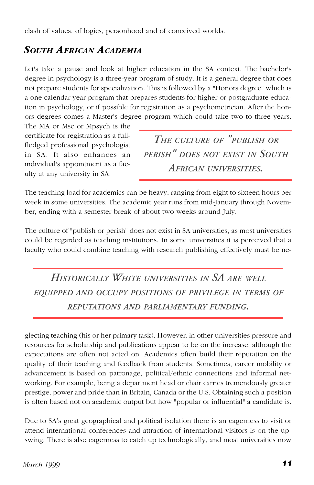clash of values, of logics, personhood and of conceived worlds.

### *SOUTH AFRICAN ACADEMIA*

Let's take a pause and look at higher education in the SA context. The bachelor's degree in psychology is a three-year program of study. It is a general degree that does not prepare students for specialization. This is followed by a "Honors degree" which is a one calendar year program that prepares students for higher or postgraduate education in psychology, or if possible for registration as a psychometrician. After the honors degrees comes a Master's degree program which could take two to three years.

The MA or Msc or Mpsych is the certificate for registration as a fullfledged professional psychologist in SA. It also enhances an individual's appointment as a faculty at any university in SA.

*THE CULTURE OF "PUBLISH OR PERISH" DOES NOT EXIST IN SOUTH AFRICAN UNIVERSITIES.*

The teaching load for academics can be heavy, ranging from eight to sixteen hours per week in some universities. The academic year runs from mid-January through November, ending with a semester break of about two weeks around July.

The culture of "publish or perish" does not exist in SA universities, as most universities could be regarded as teaching institutions. In some universities it is perceived that a faculty who could combine teaching with research publishing effectively must be ne-

*HISTORICALLY WHITE UNIVERSITIES IN SA ARE WELL EQUIPPED AND OCCUPY POSITIONS OF PRIVILEGE IN TERMS OF REPUTATIONS AND PARLIAMENTARY FUNDING.*

glecting teaching (his or her primary task). However, in other universities pressure and resources for scholarship and publications appear to be on the increase, although the expectations are often not acted on. Academics often build their reputation on the quality of their teaching and feedback from students. Sometimes, career mobility or advancement is based on patronage, political/ethnic connections and informal networking. For example, being a department head or chair carries tremendously greater prestige, power and pride than in Britain, Canada or the U.S. Obtaining such a position is often based not on academic output but how "popular or influential" a candidate is.

Due to SA's great geographical and political isolation there is an eagerness to visit or attend international conferences and attraction of international visitors is on the upswing. There is also eagerness to catch up technologically, and most universities now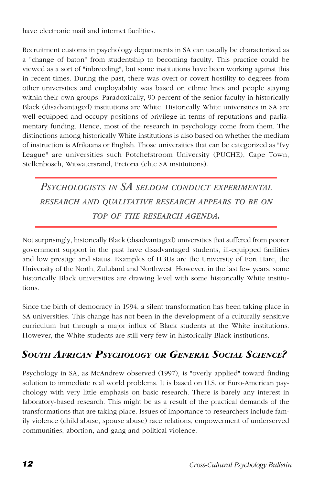have electronic mail and internet facilities.

Recruitment customs in psychology departments in SA can usually be characterized as a "change of baton" from studentship to becoming faculty. This practice could be viewed as a sort of "inbreeding", but some institutions have been working against this in recent times. During the past, there was overt or covert hostility to degrees from other universities and employability was based on ethnic lines and people staying within their own groups. Paradoxically, 90 percent of the senior faculty in historically Black (disadvantaged) institutions are White. Historically White universities in SA are well equipped and occupy positions of privilege in terms of reputations and parliamentary funding. Hence, most of the research in psychology come from them. The distinctions among historically White institutions is also based on whether the medium of instruction is Afrikaans or English. Those universities that can be categorized as "Ivy League" are universities such Potchefstroom University (PUCHE), Cape Town, Stellenbosch, Witwatersrand, Pretoria (elite SA institutions).

*PSYCHOLOGISTS IN SA SELDOM CONDUCT EXPERIMENTAL RESEARCH AND QUALITATIVE RESEARCH APPEARS TO BE ON TOP OF THE RESEARCH AGENDA.*

Not surprisingly, historically Black (disadvantaged) universities that suffered from poorer government support in the past have disadvantaged students, ill-equipped facilities and low prestige and status. Examples of HBUs are the University of Fort Hare, the University of the North, Zululand and Northwest. However, in the last few years, some historically Black universities are drawing level with some historically White institutions.

Since the birth of democracy in 1994, a silent transformation has been taking place in SA universities. This change has not been in the development of a culturally sensitive curriculum but through a major influx of Black students at the White institutions. However, the White students are still very few in historically Black institutions.

### *SOUTH AFRICAN PSYCHOLOGY OR GENERAL SOCIAL SCIENCE?*

Psychology in SA, as McAndrew observed (1997), is "overly applied" toward finding solution to immediate real world problems. It is based on U.S. or Euro-American psychology with very little emphasis on basic research. There is barely any interest in laboratory-based research. This might be as a result of the practical demands of the transformations that are taking place. Issues of importance to researchers include family violence (child abuse, spouse abuse) race relations, empowerment of underserved communities, abortion, and gang and political violence.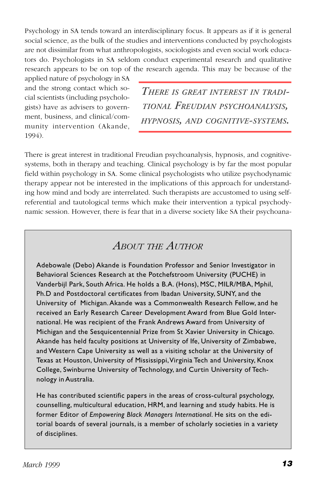Psychology in SA tends toward an interdisciplinary focus. It appears as if it is general social science, as the bulk of the studies and interventions conducted by psychologists are not dissimilar from what anthropologists, sociologists and even social work educators do. Psychologists in SA seldom conduct experimental research and qualitative research appears to be on top of the research agenda. This may be because of the

applied nature of psychology in SA and the strong contact which social scientists (including psychologists) have as advisers to government, business, and clinical/community intervention (Akande, 1994).

*THERE IS GREAT INTEREST IN TRADI-TIONAL FREUDIAN PSYCHOANALYSIS, HYPNOSIS, AND COGNITIVE-SYSTEMS.*

There is great interest in traditional Freudian psychoanalysis, hypnosis, and cognitivesystems, both in therapy and teaching. Clinical psychology is by far the most popular field within psychology in SA. Some clinical psychologists who utilize psychodynamic therapy appear not be interested in the implications of this approach for understanding how mind and body are interrelated. Such therapists are accustomed to using selfreferential and tautological terms which make their intervention a typical psychodynamic session. However, there is fear that in a diverse society like SA their psychoana-

### *ABOUT THE AUTHOR*

Adebowale (Debo) Akande is Foundation Professor and Senior Investigator in Behavioral Sciences Research at the Potchefstroom University (PUCHE) in Vanderbijl Park, South Africa. He holds a B.A. (Hons), MSC, MILR/MBA, Mphil, Ph.D and Postdoctoral certificates from Ibadan University, SUNY, and the University of Michigan. Akande was a Commonwealth Research Fellow, and he received an Early Research Career Development Award from Blue Gold International. He was recipient of the Frank Andrews Award from University of Michigan and the Sesquicentennial Prize from St Xavier University in Chicago. Akande has held faculty positions at University of Ife, University of Zimbabwe, and Western Cape University as well as a visiting scholar at the University of Texas at Houston, University of Mississippi, Virginia Tech and University, Knox College, Swinburne University of Technology, and Curtin University of Technology in Australia.

He has contributed scientific papers in the areas of cross-cultural psychology, counselling, multicultural education, HRM, and learning and study habits. He is former Editor of *Empowering Black Managers International*. He sits on the editorial boards of several journals, is a member of scholarly societies in a variety of disciplines.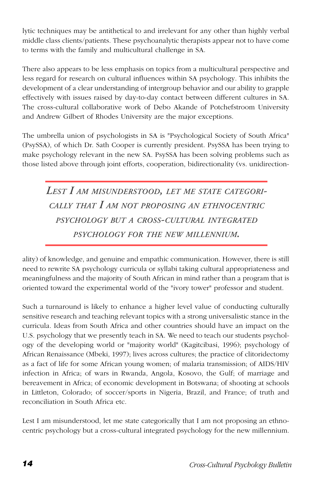lytic techniques may be antithetical to and irrelevant for any other than highly verbal middle class clients/patients. These psychoanalytic therapists appear not to have come to terms with the family and multicultural challenge in SA.

There also appears to be less emphasis on topics from a multicultural perspective and less regard for research on cultural influences within SA psychology. This inhibits the development of a clear understanding of intergroup behavior and our ability to grapple effectively with issues raised by day-to-day contact between different cultures in SA. The cross-cultural collaborative work of Debo Akande of Potchefstroom University and Andrew Gilbert of Rhodes University are the major exceptions.

The umbrella union of psychologists in SA is "Psychological Society of South Africa" (PsySSA), of which Dr. Sath Cooper is currently president. PsySSA has been trying to make psychology relevant in the new SA. PsySSA has been solving problems such as those listed above through joint efforts, cooperation, bidirectionality (vs. unidirection-

*LEST I AM MISUNDERSTOOD, LET ME STATE CATEGORI-CALLY THAT I AM NOT PROPOSING AN ETHNOCENTRIC PSYCHOLOGY BUT <sup>A</sup> CROSS-CULTURAL INTEGRATED PSYCHOLOGY FOR THE NEW MILLENNIUM.*

ality) of knowledge, and genuine and empathic communication. However, there is still need to rewrite SA psychology curricula or syllabi taking cultural appropriateness and meaningfulness and the majority of South African in mind rather than a program that is oriented toward the experimental world of the "ivory tower" professor and student.

Such a turnaround is likely to enhance a higher level value of conducting culturally sensitive research and teaching relevant topics with a strong universalistic stance in the curricula. Ideas from South Africa and other countries should have an impact on the U.S. psychology that we presently teach in SA. We need to teach our students psychology of the developing world or "majority world" (Kagitcibasi, 1996); psychology of African Renaissance (Mbeki, 1997); lives across cultures; the practice of clitoridectomy as a fact of life for some African young women; of malaria transmission; of AIDS/HIV infection in Africa; of wars in Rwanda, Angola, Kosovo, the Gulf; of marriage and bereavement in Africa; of economic development in Botswana; of shooting at schools in Littleton, Colorado; of soccer/sports in Nigeria, Brazil, and France; of truth and reconciliation in South Africa etc.

Lest I am misunderstood, let me state categorically that I am not proposing an ethnocentric psychology but a cross-cultural integrated psychology for the new millennium.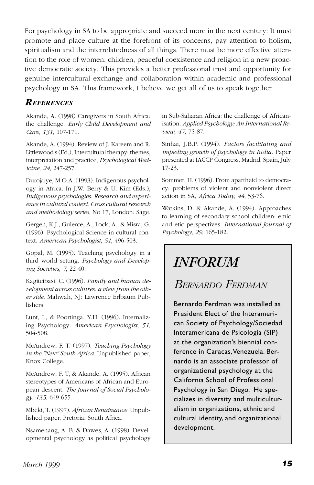<span id="page-14-0"></span>For psychology in SA to be appropriate and succeed more in the next century: It must promote and place culture at the forefront of its concerns, pay attention to holism, spiritualism and the interrelatedness of all things. There must be more effective attention to the role of women, children, peaceful coexistence and religion in a new proactive democratic society. This provides a better professional trust and opportunity for genuine intercultural exchange and collaboration within academic and professional psychology in SA. This framework, I believe we get all of us to speak together.

#### *REFERENCES*

Akande, A. (1998) Caregivers in South Africa: the challenge. *Early Child Development and Care, 131*, 107-171.

Akande, A. (1994). Review of J. Kareem and R. Littlewood's (Ed.), Intercultural therapy: themes, interpretation and practice, *Psychological Medicine, 24*, 247-257.

Durojaiye, M.O.A. (1993). Indigenous psychology in Africa. In J.W. Berry & U. Kim (Eds.), *Indigenous psychologies: Research and experience in cultural context. Cross cultural research and methodology series*, No 17, London: Sage.

Gergen, K.J., Gulerce, A., Lock, A., & Misra, G. (1996). Psychological Science in cultural context. *American Psychologist, 51*, 496-503.

Gopal, M. (1995). Teaching psychology in a third world setting. *Psychology and Developing Societies, 7*, 22-40.

Kagitcibasi, C. (1996). *Family and human development across cultures: a view from the other side.* Mahwah, NJ: Lawrence Erlbaum Publishers.

Lunt, I., & Poortinga, Y.H. (1996). Internalizing Psychology. *American Psychologist, 51,* 504-508.

McAndrew, F. T. (1997). *Teaching Psychology in the "New" South Africa*. Unpublished paper, Knox College.

McAndrew, F. T, & Akande, A. (1995). African stereotypes of Americans of African and European descent. *The Journal of Social Psychology, 135,* 649-655.

Mbeki, T. (1997). *African Renaissance.* Unpublished paper, Pretoria, South Africa.

Nsamenang, A. B. & Dawes, A. (1998). Developmental psychology as political psychology in Sub-Saharan Africa: the challenge of Africanisation. *Applied Psychology: An International Review, 47,* 75-87.

Sinhai, J.B.P. (1994). *Factors facilitating and impeding growth of psychology in India.* Paper presented at IACCP Congress, Madrid, Spain, July 17-23.

Sommer, H. (1996). From apartheid to democracy: problems of violent and nonviolent direct action in SA, *Africa Today, 44*, 53-76.

Watkins, D. & Akande, A. (1994). Approaches to learning of secondary school children: emic and etic perspectives. *International Journal of Psychology, 29,* 165-182.

## *INFORUM*

### *BERNARDO FERDMAN*

Bernardo Ferdman was installed as President Elect of the Interamerican Society of Psychology/Sociedad Interamericana de Psicología (SIP) at the organization's biennial conference in Caracas, Venezuela. Bernardo is an associate professor of organizational psychology at the California School of Professional Psychology in San Diego. He specializes in diversity and multiculturalism in organizations, ethnic and cultural identity, and organizational development.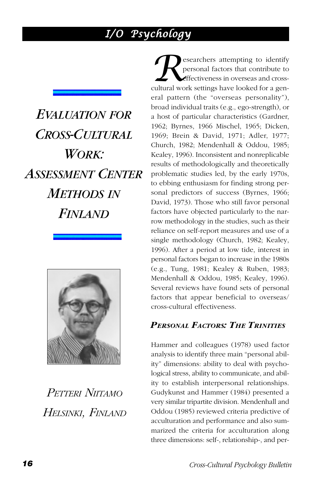### *I/O Psychology*

<span id="page-15-0"></span>*EVALUATION FOR CROSS-CULTURAL WORK: ASSESSMENT CENTER METHODS IN FINLAND*



*PETTERI NIITAMO HELSINKI, FINLAND*

**Researchers attempting to identify**<br>
personal factors that contribute to<br>
cultural work settings have looked for a genpersonal factors that contribute to effectiveness in overseas and crosseral pattern (the "overseas personality"), broad individual traits (e.g., ego-strength), or a host of particular characteristics (Gardner, 1962; Byrnes, 1966 Mischel, 1965; Dicken, 1969; Brein & David, 1971; Adler, 1977; Church, 1982; Mendenhall & Oddou, 1985; Kealey, 1996). Inconsistent and nonreplicable results of methodologically and theoretically problematic studies led, by the early 1970s, to ebbing enthusiasm for finding strong personal predictors of success (Byrnes, 1966; David, 1973). Those who still favor personal factors have objected particularly to the narrow methodology in the studies, such as their reliance on self-report measures and use of a single methodology (Church, 1982; Kealey, 1996). After a period at low tide, interest in personal factors began to increase in the 1980s (e.g., Tung, 1981; Kealey & Ruben, 1983; Mendenhall & Oddou, 1985; Kealey, 1996). Several reviews have found sets of personal factors that appear beneficial to overseas/ cross-cultural effectiveness.

#### *PERSONAL FACTORS: THE TRINITIES*

Hammer and colleagues (1978) used factor analysis to identify three main "personal ability" dimensions: ability to deal with psychological stress, ability to communicate, and ability to establish interpersonal relationships. Gudykunst and Hammer (1984) presented a very similar tripartite division. Mendenhall and Oddou (1985) reviewed criteria predictive of acculturation and performance and also summarized the criteria for acculturation along three dimensions: self-, relationship-, and per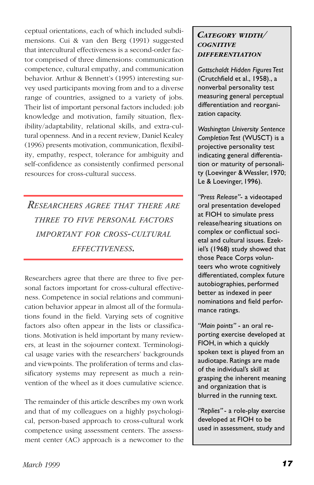ceptual orientations, each of which included subdimensions. Cui & van den Berg (1991) suggested that intercultural effectiveness is a second-order factor comprised of three dimensions: communication competence, cultural empathy, and communication behavior. Arthur & Bennett's (1995) interesting survey used participants moving from and to a diverse range of countries, assigned to a variety of jobs. Their list of important personal factors included: job knowledge and motivation, family situation, flexibility/adaptability, relational skills, and extra-cultural openness. And in a recent review, Daniel Kealey (1996) presents motivation, communication, flexibility, empathy, respect, tolerance for ambiguity and self-confidence as consistently confirmed personal resources for cross-cultural success.

*RESEARCHERS AGREE THAT THERE ARE THREE TO FIVE PERSONAL FACTORS IMPORTANT FOR CROSS-CULTURAL EFFECTIVENESS.*

Researchers agree that there are three to five personal factors important for cross-cultural effectiveness. Competence in social relations and communication behavior appear in almost all of the formulations found in the field. Varying sets of cognitive factors also often appear in the lists or classifications. Motivation is held important by many reviewers, at least in the sojourner context. Terminological usage varies with the researchers' backgrounds and viewpoints. The proliferation of terms and classificatory systems may represent as much a reinvention of the wheel as it does cumulative science.

The remainder of this article describes my own work and that of my colleagues on a highly psychological, person-based approach to cross-cultural work competence using assessment centers. The assessment center (AC) approach is a newcomer to the

#### *CATEGORY WIDTH/ COGNITIVE DIFFERENTIATION*

*Gottschaldt Hidden Figures Test* (Crutchfield et al., 1958)., a nonverbal personality test measuring general perceptual differentiation and reorganization capacity.

*Washington University Sentence Completion Test* (WUSCT) is a projective personality test indicating general differentiation or maturity of personality (Loevinger & Wessler, 1970; Le & Loevinger, 1996).

*"Press Release"*- a videotaped oral presentation developed at FIOH to simulate press release/hearing situations on complex or conflictual societal and cultural issues. Ezekiel's (1968) study showed that those Peace Corps volunteers who wrote cognitively differentiated, complex future autobiographies, performed better as indexed in peer nominations and field performance ratings.

*"Main points"* - an oral reporting exercise developed at FIOH, in which a quickly spoken text is played from an audiotape. Ratings are made of the individual's skill at grasping the inherent meaning and organization that is blurred in the running text.

*"Replies"* - a role-play exercise developed at FIOH to be used in assessment, study and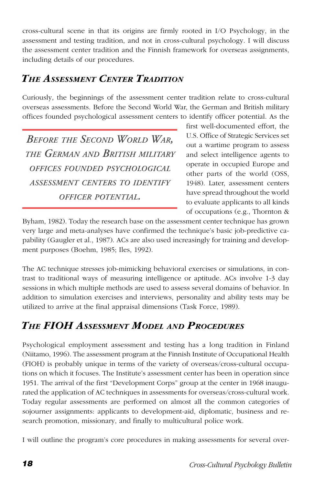cross-cultural scene in that its origins are firmly rooted in I/O Psychology, in the assessment and testing tradition, and not in cross-cultural psychology. I will discuss the assessment center tradition and the Finnish framework for overseas assignments, including details of our procedures.

### *THE ASSESSMENT CENTER TRADITION*

Curiously, the beginnings of the assessment center tradition relate to cross-cultural overseas assessments. Before the Second World War, the German and British military offices founded psychological assessment centers to identify officer potential. As the

*BEFORE THE SECOND WORLD WAR, THE GERMAN AND BRITISH MILITARY OFFICES FOUNDED PSYCHOLOGICAL ASSESSMENT CENTERS TO IDENTIFY OFFICER POTENTIAL.*

first well-documented effort, the U.S. Office of Strategic Services set out a wartime program to assess and select intelligence agents to operate in occupied Europe and other parts of the world (OSS, 1948). Later, assessment centers have spread throughout the world to evaluate applicants to all kinds of occupations (e.g., Thornton &

Byham, 1982). Today the research base on the assessment center technique has grown very large and meta-analyses have confirmed the technique's basic job-predictive capability (Gaugler et al., 1987). ACs are also used increasingly for training and development purposes (Boehm, 1985; Iles, 1992).

The AC technique stresses job-mimicking behavioral exercises or simulations, in contrast to traditional ways of measuring intelligence or aptitude. ACs involve 1-3 day sessions in which multiple methods are used to assess several domains of behavior. In addition to simulation exercises and interviews, personality and ability tests may be utilized to arrive at the final appraisal dimensions (Task Force, 1989).

### *THE FIOH ASSESSMENT MODEL AND PROCEDURES*

Psychological employment assessment and testing has a long tradition in Finland (Niitamo, 1996). The assessment program at the Finnish Institute of Occupational Health (FIOH) is probably unique in terms of the variety of overseas/cross-cultural occupations on which it focuses. The Institute's assessment center has been in operation since 1951. The arrival of the first "Development Corps" group at the center in 1968 inaugurated the application of AC techniques in assessments for overseas/cross-cultural work. Today regular assessments are performed on almost all the common categories of sojourner assignments: applicants to development-aid, diplomatic, business and research promotion, missionary, and finally to multicultural police work.

I will outline the program's core procedures in making assessments for several over-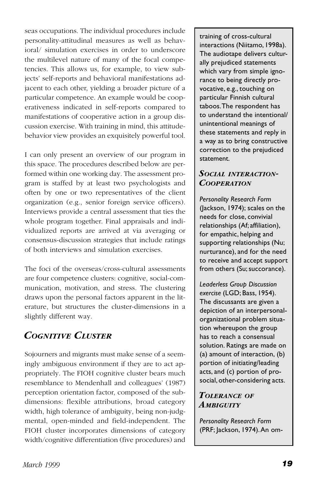seas occupations. The individual procedures include personality-attitudinal measures as well as behavioral/ simulation exercises in order to underscore the multilevel nature of many of the focal competencies. This allows us, for example, to view subjects' self-reports and behavioral manifestations adjacent to each other, yielding a broader picture of a particular competence. An example would be cooperativeness indicated in self-reports compared to manifestations of cooperative action in a group discussion exercise. With training in mind, this attitudebehavior view provides an exquisitely powerful tool.

I can only present an overview of our program in this space. The procedures described below are performed within one working day. The assessment program is staffed by at least two psychologists and often by one or two representatives of the client organization (e.g., senior foreign service officers). Interviews provide a central assessment that ties the whole program together. Final appraisals and individualized reports are arrived at via averaging or consensus-discussion strategies that include ratings of both interviews and simulation exercises.

The foci of the overseas/cross-cultural assessments are four competence clusters: cognitive, social-communication, motivation, and stress. The clustering draws upon the personal factors apparent in the literature, but structures the cluster-dimensions in a slightly different way.

### *COGNITIVE CLUSTER*

Sojourners and migrants must make sense of a seemingly ambiguous environment if they are to act appropriately. The FIOH cognitive cluster bears much resemblance to Mendenhall and colleagues' (1987) perception orientation factor, composed of the subdimensions: flexible attributions, broad category width, high tolerance of ambiguity, being non-judgmental, open-minded and field-independent. The FIOH cluster incorporates dimensions of category width/cognitive differentiation (five procedures) and training of cross-cultural interactions (Niitamo, 1998a). The audiotape delivers culturally prejudiced statements which vary from simple ignorance to being directly provocative, e.g., touching on particular Finnish cultural taboos. The respondent has to understand the intentional/ unintentional meanings of these statements and reply in a way as to bring constructive correction to the prejudiced statement.

#### *SOCIAL INTERACTION-COOPERATION*

*Personality Research Form* (Jackson, 1974); scales on the needs for close, convivial relationships (Af; affiliation), for empathic, helping and supporting relationships (Nu; nurturance), and for the need to receive and accept support from others (Su; succorance).

*Leaderless Group Discussion exercise* (LGD; Bass, 1954). The discussants are given a depiction of an interpersonalorganizational problem situation whereupon the group has to reach a consensual solution. Ratings are made on (a) amount of interaction, (b) portion of initiating/leading acts, and (c) portion of prosocial, other-considering acts.

#### *TOLERANCE OF AMBIGUITY*

*Personality Research Form* (PRF; Jackson, 1974). An om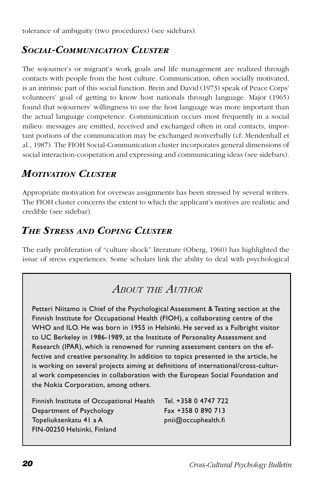tolerance of ambiguity (two procedures) (see sidebars).

### *SOCIAL-COMMUNICATION CLUSTER*

The sojourner's or migrant's work goals and life management are realized through contacts with people from the host culture. Communication, often socially motivated, is an intrinsic part of this social function. Brein and David (1973) speak of Peace Corps' volunteers' goal of getting to know host nationals through language. Major (1965) found that sojourners' willingness to use the host language was more important than the actual language competence. Communication occurs most frequently in a social milieu: messages are emitted, received and exchanged often in oral contacts, important portions of the communication may be exchanged nonverbally (cf. Mendenhall et al., 1987). The FIOH Social-Communication cluster incorporates general dimensions of social interaction-cooperation and expressing and communicating ideas (see sidebars).

### *MOTIVATION CLUSTER*

Appropriate motivation for overseas assignments has been stressed by several writers. The FIOH cluster concerns the extent to which the applicant's motives are realistic and credible (see sidebar).

### *THE STRESS AND COPING CLUSTER*

The early proliferation of "culture shock" literature (Oberg, 1960) has highlighted the issue of stress experiences. Some scholars link the ability to deal with psychological

### *ABOUT THE AUTHOR*

Petteri Niitamo is Chief of the Psychological Assessment & Testing section at the Finnish Institute for Occupational Health (FIOH), a collaborating centre of the WHO and ILO. He was born in 1955 in Helsinki. He served as a Fulbright visitor to UC Berkeley in 1986-1989, at the Institute of Personality Assessment and Research (IPAR), which is renowned for running assessment centers on the effective and creative personality. In addition to topics presented in the article, he is working on several projects aiming at definitions of international/cross-cultural work competencies in collaboration with the European Social Foundation and the Nokia Corporation, among others.

| Finnish Institute of Occupational Health | Tel. +358 0 4747 722 |
|------------------------------------------|----------------------|
| Department of Psychology                 | Fax +358 0 890 713   |
| Topeliuksenkatu 41 a A                   | pnii@occuphealth.fi  |
| FIN-00250 Helsinki, Finland              |                      |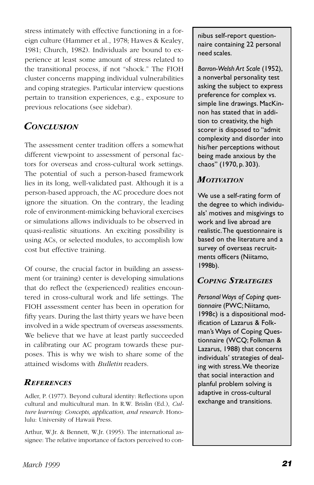stress intimately with effective functioning in a foreign culture (Hammer et al., 1978; Hawes & Kealey, 1981; Church, 1982). Individuals are bound to experience at least some amount of stress related to the transitional process, if not "shock." The FIOH cluster concerns mapping individual vulnerabilities and coping strategies. Particular interview questions pertain to transition experiences, e.g., exposure to previous relocations (see sidebar).

### *CONCLUSION*

The assessment center tradition offers a somewhat different viewpoint to assessment of personal factors for overseas and cross-cultural work settings. The potential of such a person-based framework lies in its long, well-validated past. Although it is a person-based approach, the AC procedure does not ignore the situation. On the contrary, the leading role of environment-mimicking behavioral exercises or simulations allows individuals to be observed in quasi-realistic situations. An exciting possibility is using ACs, or selected modules, to accomplish low cost but effective training.

Of course, the crucial factor in building an assessment (or training) center is developing simulations that do reflect the (experienced) realities encountered in cross-cultural work and life settings. The FIOH assessment center has been in operation for fifty years. During the last thirty years we have been involved in a wide spectrum of overseas assessments. We believe that we have at least partly succeeded in calibrating our AC program towards these purposes. This is why we wish to share some of the attained wisdoms with *Bulletin* readers.

#### *REFERENCES*

Adler, P. (1977). Beyond cultural identity: Reflections upon cultural and multicultural man. In R.W. Brislin (Ed.), *Culture learning: Concepts, application, and research.* Honolulu: University of Hawaii Press.

Arthur, W.Jr. & Bennett, W.Jr. (1995). The international assignee: The relative importance of factors perceived to connibus self-report questionnaire containing 22 personal need scales.

*Barron-Welsh Art Scale* (1952), a nonverbal personality test asking the subject to express preference for complex vs. simple line drawings. MacKinnon has stated that in addition to creativity, the high scorer is disposed to "admit complexity and disorder into his/her perceptions without being made anxious by the chaos" (1970, p. 303).

### *MOTIVATION*

We use a self-rating form of the degree to which individuals' motives and misgivings to work and live abroad are realistic. The questionnaire is based on the literature and a survey of overseas recruitments officers (Niitamo, 1998b).

### *COPING STRATEGIES*

*Personal Ways of Coping questionnaire* (PWC; Niitamo, 1998c) is a dispositional modification of Lazarus & Folkman's Ways of Coping Questionnaire (WCQ; Folkman & Lazarus, 1988) that concerns individuals' strategies of dealing with stress. We theorize that social interaction and planful problem solving is adaptive in cross-cultural exchange and transitions.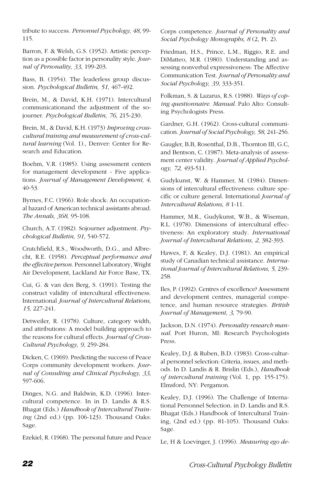tribute to success. *Personnel Psychology, 48*, 99- 115.

Barron, F. & Welsh, G.S. (1952). Artistic perception as a possible factor in personality style. *Journal of Personality, 33*, 199-203.

Bass, B. (1954). The leaderless group discussion. *Psychological Bulletin, 51*, 467-492.

Brein, M., & David, K.H. (1971). Intercultural communicationand the adjustment of the sojourner. *Psychological Bulletin, 76*, 215-230.

Brein, M., & David, K.H. (1973) *Improving crosscultural training and measurement of cross-cultural learning* (Vol. 1)., Denver: Center for Research and Education.

Boehm, V.R. (1985). Using assessment centers for management development - Five applications. *Journal of Management Development, 4*, 40-53.

Byrnes, F.C. (1966). Role shock: An occupational hazard of American technical assistants abroad. *The Annals, 368*, 95-108.

Church, A.T. (1982). Sojourner adjustment. *Psychological Bulletin, 91*, 540-572.

Crutchfield, R.S., Woodworth, D.G., and Albrecht, R.E. (1958). *Perceptual performance and the effective person.* Personnel Laboratory, Wright Air Development, Lackland Air Force Base, TX.

Cui, G. & van den Berg, S. (1991). Testing the construct validity of intercultural effectiveness. International *Journal of Intercultural Relations, 15*, 227-241.

Detweiler, R. (1978). Culture, category width, and attributions: A model building approach to the reasons for cultural effects. *Journal of Cross-Cultural Psychology, 9*, 259-284.

Dicken, C. (1969). Predicting the success of Peace Corps community development workers. *Journal of Consulting and Clinical Psychology, 33*, 597-606.

Dinges, N.G. and Baldwin, K.D. (1996). Intercultural competence. In in D. Landis & R.S. Bhagat (Eds.) *Handbook of Intercultural Training* (2nd ed.) (pp. 106-123). Thousand Oaks: Sage.

Ezekiel, R. (1968). The personal future and Peace

Corps competence. *Journal of Personality and Social Psychology Monographs, 8* (2, Pt. 2).

Friedman, H.S., Prince, L.M., Riggio, R.E. and DiMatteo, M.R. (1980). Understanding and assessing nonverbal expressiveness: The Affective Communication Test. *Journal of Personality and Social Psychology, 39*, 333-351.

Folkman, S. & Lazarus, R.S. (1988). *Ways of coping questionnaire*. *Manual*. Palo Alto: Consulting Psychologists Press.

Gardner, G.H. (1962). Cross-cultural communication. *Journal of Social Psychology, 58*, 241-256.

Gaugler, B.B, Rosenthal, D.B., Thornton III, G.C, and Bentson, C. (1987). Meta-analysis of assessment center validity. *Journal of Applied Psychology, 72*, 493-511.

Gudykunst, W. & Hammer, M. (1984). Dimensions of intercultural effectiveness: culture specific or culture general. International *Journal of Intercultural Relations, 8* 1-11.

Hammer, M.R., Gudykunst, W.B., & Wiseman, R.L. (1978). Dimensions of intercultural effectiveness: An exploratory study. *International Journal of Intercultural Relations, 2*, 382-393.

Hawes, F, & Kealey, D.J. (1981). An empirical study of Canadian technical assistance. *International Journal of Intercultural Relations, 5*, 239- 258.

Iles, P. (1992). Centres of excellence? Assessment and development centres, managerial competence, and human resource strategies. *British Journal of Management, 3*, 79-90.

Jackson, D.N. (1974). *Personality research manual*. Port Huron, MI: Research Psychologists Press.

Kealey, D.J. & Ruben, B.D. (1983). Cross-cultural personnel selection: Criteria, issues, and methods. In D. Landis & R. Brislin (Eds.), *Handbook of intercultural training* (Vol. 1, pp. 155-175). Elmsford, NY: Pergamon.

Kealey, D.J. (1996). The Challenge of International Personnel Selection. in D. Landis and R.S. Bhagat (Eds.) Handbook of Intercultural Training, (2nd ed.) (pp. 81-105). Thousand Oaks: Sage.

Le, H & Loevinger, J. (1996). *Measuring ego de-*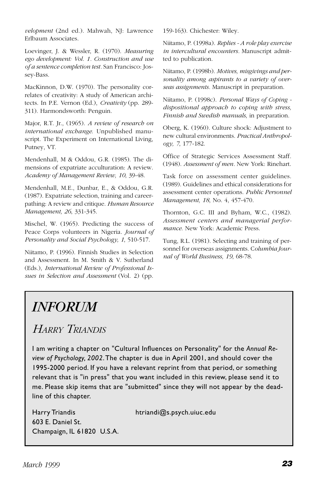<span id="page-22-0"></span>*velopment* (2nd ed.). Mahwah, NJ: Lawrence Erlbaum Associates.

Loevinger, J. & Wessler, R. (1970). *Measuring ego development: Vol. 1. Construction and use of a sentence completion test.* San Francisco: Jossey-Bass.

MacKinnon, D.W. (1970). The personality correlates of creativity: A study of American architects. In P.E. Vernon (Ed.), *Creativity* (pp. 289- 311). Harmondsworth: Penguin.

Major, R.T. Jr., (1965). *A review of research on international exchange*. Unpublished manuscript. The Experiment on International Living, Putney, VT.

Mendenhall, M & Oddou, G.R. (1985). The dimensions of expatriate acculturation: A review. *Academy of Management Review, 10*, 39-48.

Mendenhall, M.E., Dunbar, E., & Oddou, G.R. (1987). Expatriate selection, training and careerpathing: A review and critique. *Human Resource Management, 26*, 331-345.

Mischel, W. (1965). Predicting the success of Peace Corps volunteers in Nigeria. *Journal of Personality and Social Psychology, 1*, 510-517.

Niitamo, P. (1996). Finnish Studies in Selection and Assessment. In M. Smith & V. Sutherland (Eds.), *International Review of Professional Issues in Selection and Assessment* (Vol. 2) (pp.

159-163). Chichester: Wiley.

Niitamo, P. (1998a). *Replies - A role play exercise in intercultural encounters.* Manuscript admitted to publication.

Niitamo, P. (1998b). *Motives, misgivings and personality among aspirants to a variety of overseas assignments.* Manuscript in preparation.

Niitamo, P. (1998c). *Personal Ways of Coping dispositional approach to coping with stress, Finnish and Swedish manuals*, in preparation.

Oberg, K. (1960). Culture shock: Adjustment to new cultural environments. *Practical Anthropology, 7*, 177-182.

Office of Strategic Services Assessment Staff. (1948). *Assessment of men.* New York: Rinehart.

Task force on assessment center guidelines. (1989). Guidelines and ethical considerations for assessment center operations. *Public Personnel Management, 18*, No. 4, 457-470.

Thornton, G.C. III and Byham, W.C., (1982). *Assessment centers and managerial performance*. New York: Academic Press.

Tung, R.L. (1981). Selecting and training of personnel for overseas assignments. C*olumbia Journal of World Business, 19*, 68-78.

## *INFORUM*

*HARRY TRIANDIS*

I am writing a chapter on "Cultural Influences on Personality" for the *Annual Review of Psychology, 2002*. The chapter is due in April 2001, and should cover the 1995-2000 period. If you have a relevant reprint from that period, or something relevant that is "in press" that you want included in this review, please send it to me. Please skip items that are "submitted" since they will not appear by the deadline of this chapter.

603 E. Daniel St. Champaign, IL 61820 U.S.A.

Harry Triandis htriandi@s.psych.uiuc.edu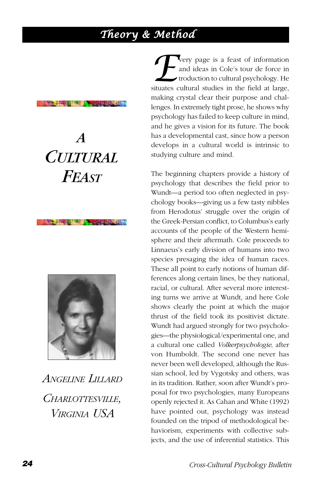### <span id="page-23-0"></span>*Theory & Method*

#### **Modern City I Will be March Library**

# *A CULTURAL FEAST*

**A TANK A WALL AND CLUBS COM** 



*ANGELINE LILLARD CHARLOTTESVILLE, VIRGINIA USA*

**EVECT** very page is a feast of information and ideas in Cole's tour de force in troduction to cultural psychology. He situates cultural studies in the field at large, and ideas in Cole's tour de force in troduction to cultural psychology. He making crystal clear their purpose and challenges. In extremely tight prose, he shows why psychology has failed to keep culture in mind, and he gives a vision for its future. The book has a developmental cast, since how a person develops in a cultural world is intrinsic to studying culture and mind.

The beginning chapters provide a history of psychology that describes the field prior to Wundt—a period too often neglected in psychology books—giving us a few tasty nibbles from Herodotus' struggle over the origin of the Greek-Persian conflict, to Columbus's early accounts of the people of the Western hemisphere and their aftermath. Cole proceeds to Linnaeus's early division of humans into two species presaging the idea of human races. These all point to early notions of human differences along certain lines, be they national, racial, or cultural. After several more interesting turns we arrive at Wundt, and here Cole shows clearly the point at which the major thrust of the field took its positivist dictate. Wundt had argued strongly for two psychologies—the physiological/experimental one, and a cultural one called *Volkerpsychologie*, after von Humboldt. The second one never has never been well developed, although the Russian school, led by Vygotsky and others, was in its tradition. Rather, soon after Wundt's proposal for two psychologies, many Europeans openly rejected it. As Cahan and White (1992) have pointed out, psychology was instead founded on the tripod of methodological behaviorism, experiments with collective subjects, and the use of inferential statistics. This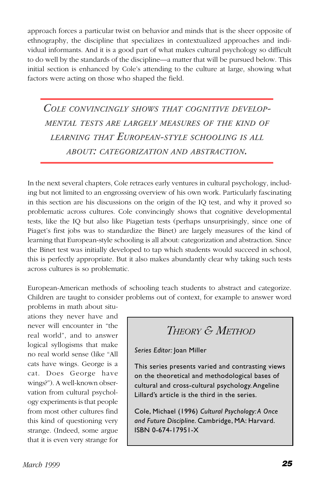approach forces a particular twist on behavior and minds that is the sheer opposite of ethnography, the discipline that specializes in contextualized approaches and individual informants. And it is a good part of what makes cultural psychology so difficult to do well by the standards of the discipline—a matter that will be pursued below. This initial section is enhanced by Cole's attending to the culture at large, showing what factors were acting on those who shaped the field.

*COLE CONVINCINGLY SHOWS THAT COGNITIVE DEVELOP-MENTAL TESTS ARE LARGELY MEASURES OF THE KIND OF LEARNING THAT EUROPEAN-STYLE SCHOOLING IS ALL ABOUT: CATEGORIZATION AND ABSTRACTION.*

In the next several chapters, Cole retraces early ventures in cultural psychology, including but not limited to an engrossing overview of his own work. Particularly fascinating in this section are his discussions on the origin of the IQ test, and why it proved so problematic across cultures. Cole convincingly shows that cognitive developmental tests, like the IQ but also like Piagetian tests (perhaps unsurprisingly, since one of Piaget's first jobs was to standardize the Binet) are largely measures of the kind of learning that European-style schooling is all about: categorization and abstraction. Since the Binet test was initially developed to tap which students would succeed in school, this is perfectly appropriate. But it also makes abundantly clear why taking such tests across cultures is so problematic.

European-American methods of schooling teach students to abstract and categorize. Children are taught to consider problems out of context, for example to answer word

problems in math about situations they never have and never will encounter in "the real world", and to answer logical syllogisms that make no real world sense (like "All cats have wings. George is a cat. Does George have wings?"). A well-known observation from cultural psychology experiments is that people from most other cultures find this kind of questioning very strange. (Indeed, some argue that it is even very strange for

*THEORY & METHOD*

*Series Editor:* Joan Miller

This series presents varied and contrasting views on the theoretical and methodological bases of cultural and cross-cultural psychology. Angeline Lillard's article is the third in the series.

Cole, Michael (1996) *Cultural Psychology: A Once and Future Discipline.* Cambridge, MA: Harvard. ISBN 0-674-17951-X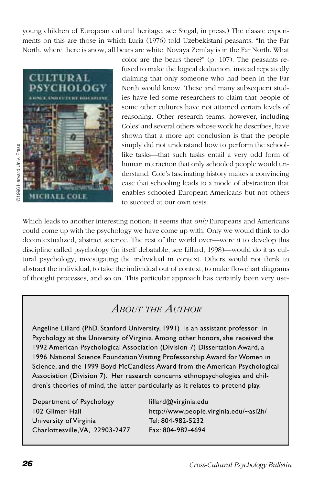young children of European cultural heritage, see Siegal, in press.) The classic experiments on this are those in which Luria (1976) told Uzebekistani peasants, "In the Far North, where there is snow, all bears are white. Novaya Zemlay is in the Far North. What



color are the bears there?" (p. 107). The peasants refused to make the logical deduction, instead repeatedly claiming that only someone who had been in the Far North would know. These and many subsequent studies have led some researchers to claim that people of some other cultures have not attained certain levels of reasoning. Other research teams, however, including Coles' and several others whose work he describes, have shown that a more apt conclusion is that the people simply did not understand how to perform the schoollike tasks—that such tasks entail a very odd form of human interaction that only schooled people would understand. Cole's fascinating history makes a convincing case that schooling leads to a mode of abstraction that enables schooled European-Americans but not others to succeed at our own tests.

Which leads to another interesting notion: it seems that *only* Europeans and Americans could come up with the psychology we have come up with. Only we would think to do decontextualized, abstract science. The rest of the world over—were it to develop this discipline called psychology (in itself debatable, see Lillard, 1998)—would do it as cultural psychology, investigating the individual in context. Others would not think to abstract the individual, to take the individual out of context, to make flowchart diagrams of thought processes, and so on. This particular approach has certainly been very use-

### *ABOUT THE AUTHOR*

Angeline Lillard (PhD, Stanford University, 1991) is an assistant professor in Psychology at the University of Virginia. Among other honors, she received the 1992 American Psychological Association (Division 7) Dissertation Award, a 1996 National Science Foundation Visiting Professorship Award for Women in Science, and the 1999 Boyd McCandless Award from the American Psychological Association (Division 7). Her research concerns ethnopsychologies and children's theories of mind, the latter particularly as it relates to pretend play.

| Department of Psychology        | lillard@virginia.edu                   |
|---------------------------------|----------------------------------------|
| 102 Gilmer Hall                 | http://www.people.virginia.edu/~asl2h/ |
| University of Virginia          | Tel: 804-982-5232                      |
| Charlottesville, VA, 22903-2477 | Fax: 804-982-4694                      |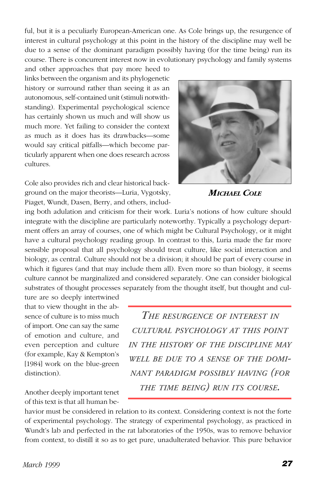ful, but it is a peculiarly European-American one. As Cole brings up, the resurgence of interest in cultural psychology at this point in the history of the discipline may well be due to a sense of the dominant paradigm possibly having (for the time being) run its course. There is concurrent interest now in evolutionary psychology and family systems

and other approaches that pay more heed to links between the organism and its phylogenetic history or surround rather than seeing it as an autonomous, self-contained unit (stimuli notwithstanding). Experimental psychological science has certainly shown us much and will show us much more. Yet failing to consider the context as much as it does has its drawbacks—some would say critical pitfalls—which become particularly apparent when one does research across cultures.

Cole also provides rich and clear historical background on the major theorists—Luria, Vygotsky, Piaget, Wundt, Dasen, Berry, and others, includ-



*MICHAEL COLE*

ing both adulation and criticism for their work. Luria's notions of how culture should integrate with the discipline are particularly noteworthy. Typically a psychology department offers an array of courses, one of which might be Cultural Psychology, or it might have a cultural psychology reading group. In contrast to this, Luria made the far more sensible proposal that all psychology should treat culture, like social interaction and biology, as central. Culture should not be a division; it should be part of every course in which it figures (and that may include them all). Even more so than biology, it seems culture cannot be marginalized and considered separately. One can consider biological substrates of thought processes separately from the thought itself, but thought and cul-

ture are so deeply intertwined that to view thought in the absence of culture is to miss much of import. One can say the same of emotion and culture, and even perception and culture (for example, Kay & Kempton's [1984] work on the blue-green distinction).

Another deeply important tenet of this text is that all human be-

*THE RESURGENCE OF INTEREST IN CULTURAL PSYCHOLOGY AT THIS POINT IN THE HISTORY OF THE DISCIPLINE MAY WELL BE DUE TO A SENSE OF THE DOMI-NANT PARADIGM POSSIBLY HAVING (FOR THE TIME BEING) RUN ITS COURSE.*

havior must be considered in relation to its context. Considering context is not the forte of experimental psychology. The strategy of experimental psychology, as practiced in Wundt's lab and perfected in the rat laboratories of the 1950s, was to remove behavior from context, to distill it so as to get pure, unadulterated behavior. This pure behavior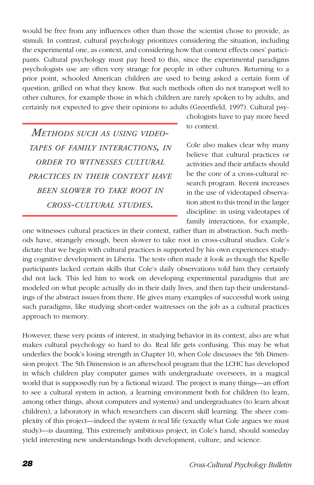would be free from any influences other than those the scientist chose to provide, as stimuli. In contrast, cultural psychology prioritizes considering the situation, including the experimental one, as context, and considering how that context effects ones' participants. Cultural psychology must pay heed to this, since the experimental paradigms psychologists use are often very strange for people in other cultures. Returning to a prior point, schooled American children are used to being asked a certain form of question, grilled on what they know. But such methods often do not transport well to other cultures, for example those in which children are rarely spoken to by adults, and certainly not expected to give their opinions to adults (Greenfield, 1997). Cultural psy-

*METHODS SUCH AS USING VIDEO-TAPES OF FAMILY INTERACTIONS, IN ORDER TO WITNESSES CULTURAL PRACTICES IN THEIR CONTEXT HAVE BEEN SLOWER TO TAKE ROOT IN CROSS-CULTURAL STUDIES.*

chologists have to pay more heed to context.

Cole also makes clear why many believe that cultural practices or activities and their artifacts should be the core of a cross-cultural research program. Recent increases in the use of videotaped observation attest to this trend in the larger discipline: in using videotapes of family interactions, for example,

one witnesses cultural practices in their context, rather than in abstraction. Such methods have, strangely enough, been slower to take root in cross-cultural studies. Cole's dictate that we begin with cultural practices is supported by his own experiences studying cognitive development in Liberia. The tests often made it look as though the Kpelle participants lacked certain skills that Cole's daily observations told him they certainly did not lack. This led him to work on developing experimental paradigms that are modeled on what people actually do in their daily lives, and then tap their understandings of the abstract issues from there. He gives many examples of successful work using such paradigms, like studying short-order waitresses on the job as a cultural practices approach to memory.

However, these very points of interest, in studying behavior in its context, also are what makes cultural psychology so hard to do. Real life gets confusing. This may be what underlies the book's losing strength in Chapter 10, when Cole discusses the 5th Dimension project. The 5th Dimension is an afterschool program that the LCHC has developed in which children play computer games with undergraduate overseers, in a magical world that is supposedly run by a fictional wizard. The project is many things—an effort to see a cultural system in action, a learning environment both for children (to learn, among other things, about computers and systems) and undergraduates (to learn about children), a laboratory in which researchers can discern skill learning. The sheer complexity of this project—indeed the system *is* real life (exactly what Cole argues we must study)—is daunting. This extremely ambitious project, in Cole's hand, should someday yield interesting new understandings both development, culture, and science.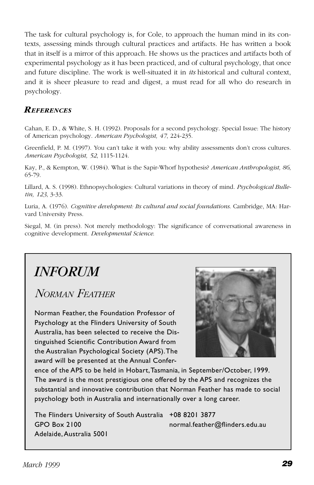<span id="page-28-0"></span>The task for cultural psychology is, for Cole, to approach the human mind in its contexts, assessing minds through cultural practices and artifacts. He has written a book that in itself is a mirror of this approach. He shows us the practices and artifacts both of experimental psychology as it has been practiced, and of cultural psychology, that once and future discipline. The work is well-situated it in *its* historical and cultural context, and it is sheer pleasure to read and digest, a must read for all who do research in psychology.

#### *REFERENCES*

Cahan, E. D., & White, S. H. (1992). Proposals for a second psychology. Special Issue: The history of American psychology. *American Psychologist, 47*, 224-235.

Greenfield, P. M. (1997). You can't take it with you: why ability assessments don't cross cultures. *American Psychologist, 52*, 1115-1124.

Kay, P., & Kempton, W. (1984). What is the Sapir-Whorf hypothesis? *American Anthropologist, 86*, 65-79.

Lillard, A. S. (1998). Ethnopsychologies: Cultural variations in theory of mind. *Psychological Bulletin, 123*, 3-33.

Luria, A. (1976). *Cognitive development: Its cultural and social foundations*. Cambridge, MA: Harvard University Press.

Siegal, M. (in press). Not merely methodology: The significance of conversational awareness in cognitive development. *Developmental Science*.

## *INFORUM*

*NORMAN FEATHER*

Norman Feather, the Foundation Professor of Psychology at the Flinders University of South Australia, has been selected to receive the Distinguished Scientific Contribution Award from the Australian Psychological Society (APS). The award will be presented at the Annual Confer-



ence of the APS to be held in Hobart, Tasmania, in September/October, 1999. The award is the most prestigious one offered by the APS and recognizes the substantial and innovative contribution that Norman Feather has made to social psychology both in Australia and internationally over a long career.

The Flinders University of South Australia +08 8201 3877 GPO Box 2100 normal.feather@flinders.edu.au Adelaide, Australia 5001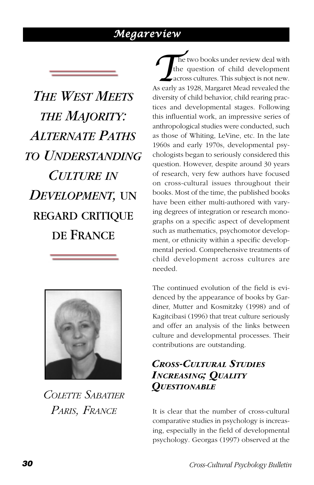### *Megareview*

<span id="page-29-0"></span>*THE WEST MEETS THE MAJORITY: ALTERNATE PATHS TO UNDERSTANDING CULTURE IN DEVELOPMENT,* UN REGARD CRITIQUE DE FRANCE



*COLETTE SABATIER PARIS, FRANCE*

**The two books under review deal with the question of child development across cultures. This subject is not new.<br>As early as 1928, Margaret Mead revealed the** the question of child development across cultures. This subject is not new. diversity of child behavior, child rearing practices and developmental stages. Following this influential work, an impressive series of anthropological studies were conducted, such as those of Whiting, LeVine, etc. In the late 1960s and early 1970s, developmental psychologists began to seriously considered this question. However, despite around 30 years of research, very few authors have focused on cross-cultural issues throughout their books. Most of the time, the published books have been either multi-authored with varying degrees of integration or research monographs on a specific aspect of development such as mathematics, psychomotor development, or ethnicity within a specific developmental period. Comprehensive treatments of child development across cultures are needed.

The continued evolution of the field is evidenced by the appearance of books by Gardiner, Mutter and Kosmitzky (1998) and of Kagitcibasi (1996) that treat culture seriously and offer an analysis of the links between culture and developmental processes. Their contributions are outstanding.

### *CROSS-CULTURAL STUDIES INCREASING; QUALITY QUESTIONABLE*

It is clear that the number of cross-cultural comparative studies in psychology is increasing, especially in the field of developmental psychology. Georgas (1997) observed at the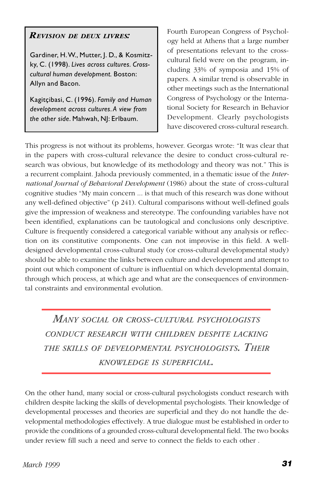#### *REVISION DE DEUX LIVRES:*

Gardiner, H. W., Mutter, J. D., & Kosmitzky, C. (1998). *Lives across cultures. Crosscultural human development.* Boston: Allyn and Bacon.

Kagitçibasi, C. (1996). *Family and Human development across cultures. A view from the other side*. Mahwah, NJ: Erlbaum.

Fourth European Congress of Psychology held at Athens that a large number of presentations relevant to the crosscultural field were on the program, including 33% of symposia and 15% of papers. A similar trend is observable in other meetings such as the International Congress of Psychology or the International Society for Research in Behavior Development. Clearly psychologists have discovered cross-cultural research.

This progress is not without its problems, however. Georgas wrote: "It was clear that in the papers with cross-cultural relevance the desire to conduct cross-cultural research was obvious, but knowledge of its methodology and theory was not." This is a recurrent complaint. Jahoda previously commented, in a thematic issue of the *International Journal of Behavioral Development* (1986) about the state of cross-cultural cognitive studies "My main concern ... is that much of this research was done without any well-defined objective" (p 241). Cultural comparisons without well-defined goals give the impression of weakness and stereotype. The confounding variables have not been identified, explanations can be tautological and conclusions only descriptive. Culture is frequently considered a categorical variable without any analysis or reflection on its constitutive components. One can not improvise in this field. A welldesigned developmental cross-cultural study (or cross-cultural developmental study) should be able to examine the links between culture and development and attempt to point out which component of culture is influential on which developmental domain, through which process, at which age and what are the consequences of environmental constraints and environmental evolution.

*MANY SOCIAL OR CROSS-CULTURAL PSYCHOLOGISTS CONDUCT RESEARCH WITH CHILDREN DESPITE LACKING THE SKILLS OF DEVELOPMENTAL PSYCHOLOGISTS. THEIR KNOWLEDGE IS SUPERFICIAL.*

On the other hand, many social or cross-cultural psychologists conduct research with children despite lacking the skills of developmental psychologists. Their knowledge of developmental processes and theories are superficial and they do not handle the developmental methodologies effectively. A true dialogue must be established in order to provide the conditions of a grounded cross-cultural developmental field. The two books under review fill such a need and serve to connect the fields to each other .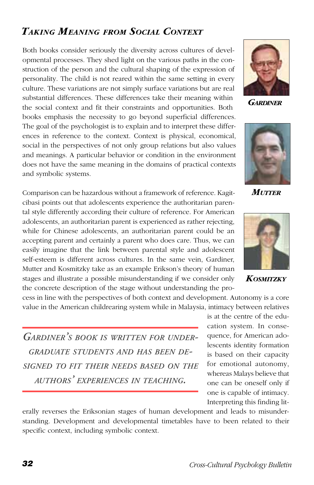### *TAKING MEANING FROM SOCIAL CONTEXT*

Both books consider seriously the diversity across cultures of developmental processes. They shed light on the various paths in the construction of the person and the cultural shaping of the expression of personality. The child is not reared within the same setting in every culture. These variations are not simply surface variations but are real substantial differences. These differences take their meaning within the social context and fit their constraints and opportunities. Both books emphasis the necessity to go beyond superficial differences. The goal of the psychologist is to explain and to interpret these differences in reference to the context. Context is physical, economical, social in the perspectives of not only group relations but also values and meanings. A particular behavior or condition in the environment does not have the same meaning in the domains of practical contexts and symbolic systems.

Comparison can be hazardous without a framework of reference. Kagitcibasi points out that adolescents experience the authoritarian parental style differently according their culture of reference. For American adolescents, an authoritarian parent is experienced as rather rejecting, while for Chinese adolescents, an authoritarian parent could be an accepting parent and certainly a parent who does care. Thus, we can easily imagine that the link between parental style and adolescent self-esteem is different across cultures. In the same vein, Gardiner, Mutter and Kosmitzky take as an example Erikson's theory of human stages and illustrate a possible misunderstanding if we consider only the concrete description of the stage without understanding the pro-

cess in line with the perspectives of both context and development. Autonomy is a core value in the American childrearing system while in Malaysia, intimacy between relatives

*GARDINER'S BOOK IS WRITTEN FOR UNDER-GRADUATE STUDENTS AND HAS BEEN DE-SIGNED TO FIT THEIR NEEDS BASED ON THE AUTHORS' EXPERIENCES IN TEACHING.*



erally reverses the Eriksonian stages of human development and leads to misunderstanding. Development and developmental timetables have to been related to their specific context, including symbolic context.



*GARDINER*



*MUTTER*



*KOSMITZKY*

is at the centre of the education system. In consequence, for American adolescents identity formation is based on their capacity for emotional autonomy, whereas Malays believe that one can be oneself only if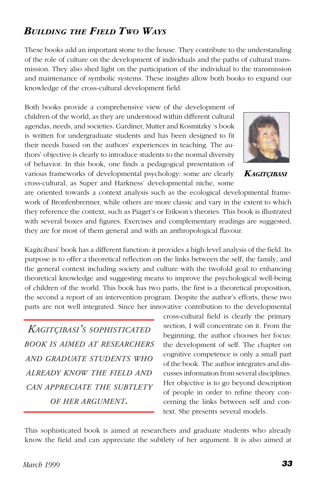### *BUILDING THE FIELD TWO WAYS*

These books add an important stone to the house. They contribute to the understanding of the role of culture on the development of individuals and the paths of cultural transmission. They also shed light on the participation of the individual to the transmission and maintenance of symbolic systems. These insights allow both books to expand our knowledge of the cross-cultural development field.

Both books provide a comprehensive view of the development of children of the world, as they are understood within different cultural agendas, needs, and societies. Gardiner, Mutter and Kosmitzky 's book is written for undergraduate students and has been designed to fit their needs based on the authors' experiences in teaching. The authors' objective is clearly to introduce students to the normal diversity of behavior. In this book, one finds a pedagogical presentation of various frameworks of developmental psychology: some are clearly cross-cultural, as Super and Harkness' developmental niche, some



*KAGITÇIBASI*

are oriented towards a context analysis such as the ecological developmental framework of Bronfenbrenner, while others are more classic and vary in the extent to which they reference the context, such as Piaget's or Erikson's theories. This book is illustrated with several boxes and figures. Exercises and complementary readings are suggested, they are for most of them general and with an anthropological flavour.

Kagitcibasi' book has a different function: it provides a high-level analysis of the field. Its purpose is to offer a theoretical reflection on the links between the self, the family, and the general context including society and culture with the twofold goal to enhancing theoretical knowledge and suggesting means to improve the psychological well-being of children of the world. This book has two parts, the first is a theoretical proposition, the second a report of an intervention program. Despite the author's efforts, these two parts are not well integrated. Since her innovative contribution to the developmental

*KAGITÇIBASI'S SOPHISTICATED BOOK IS AIMED AT RESEARCHERS AND GRADUATE STUDENTS WHO ALREADY KNOW THE FIELD AND CAN APPRECIATE THE SUBTLETY OF HER ARGUMENT.*

cross-cultural field is clearly the primary section, I will concentrate on it. From the beginning, the author chooses her focus: the development of self. The chapter on cognitive competence is only a small part of the book. The author integrates and discusses information from several disciplines. Her objective is to go beyond description of people in order to refine theory concerning the links between self and context. She presents several models.

This sophisticated book is aimed at researchers and graduate students who already know the field and can appreciate the subtlety of her argument. It is also aimed at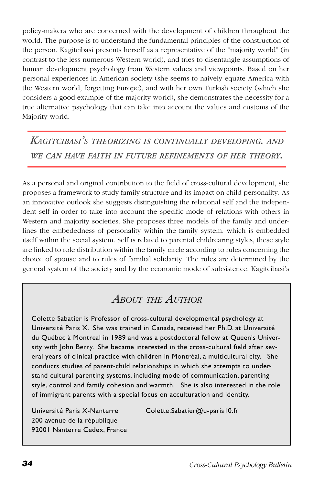policy-makers who are concerned with the development of children throughout the world. The purpose is to understand the fundamental principles of the construction of the person. Kagitcibasi presents herself as a representative of the "majority world" (in contrast to the less numerous Western world), and tries to disentangle assumptions of human development psychology from Western values and viewpoints. Based on her personal experiences in American society (she seems to naively equate America with the Western world, forgetting Europe), and with her own Turkish society (which she considers a good example of the majority world), she demonstrates the necessity for a true alternative psychology that can take into account the values and customs of the Majority world.

*KAGITCIBASI'S THEORIZING IS CONTINUALLY DEVELOPING. AND WE CAN HAVE FAITH IN FUTURE REFINEMENTS OF HER THEORY.*

As a personal and original contribution to the field of cross-cultural development, she proposes a framework to study family structure and its impact on child personality. As an innovative outlook she suggests distinguishing the relational self and the independent self in order to take into account the specific mode of relations with others in Western and majority societies. She proposes three models of the family and underlines the embededness of personality within the family system, which is embedded itself within the social system. Self is related to parental childrearing styles, these style are linked to role distribution within the family circle according to rules concerning the choice of spouse and to rules of familial solidarity. The rules are determined by the general system of the society and by the economic mode of subsistence. Kagitcibasi's

### *ABOUT THE AUTHOR*

Colette Sabatier is Professor of cross-cultural developmental psychology at Université Paris X. She was trained in Canada, received her Ph.D. at Université du Québec à Montreal in 1989 and was a postdoctoral fellow at Queen's University with John Berry. She became interested in the cross-cultural field after several years of clinical practice with children in Montréal, a multicultural city. She conducts studies of parent-child relationships in which she attempts to understand cultural parenting systems, including mode of communication, parenting style, control and family cohesion and warmth. She is also interested in the role of immigrant parents with a special focus on acculturation and identity.

200 avenue de la république 92001 Nanterre Cedex, France

Université Paris X-Nanterre Colette.Sabatier@u-paris10.fr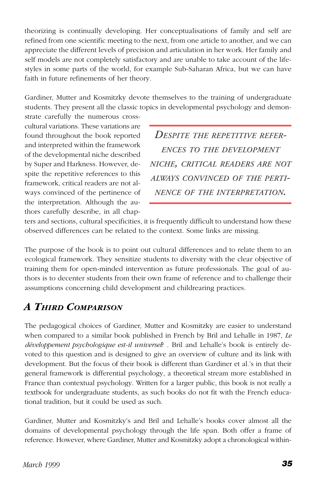theorizing is continually developing. Her conceptualisations of family and self are refined from one scientific meeting to the next, from one article to another, and we can appreciate the different levels of precision and articulation in her work. Her family and self models are not completely satisfactory and are unable to take account of the lifestyles in some parts of the world, for example Sub-Saharan Africa, but we can have faith in future refinements of her theory.

Gardiner, Mutter and Kosmitzky devote themselves to the training of undergraduate students. They present all the classic topics in developmental psychology and demon-

strate carefully the numerous crosscultural variations. These variations are found throughout the book reported and interpreted within the framework of the developmental niche described by Super and Harkness. However, despite the repetitive references to this framework, critical readers are not always convinced of the pertinence of the interpretation. Although the authors carefully describe, in all chap-

*DESPITE THE REPETITIVE REFER-ENCES TO THE DEVELOPMENT NICHE, CRITICAL READERS ARE NOT ALWAYS CONVINCED OF THE PERTI-NENCE OF THE INTERPRETATION.*

ters and sections, cultural specificities, it is frequently difficult to understand how these observed differences can be related to the context. Some links are missing.

The purpose of the book is to point out cultural differences and to relate them to an ecological framework. They sensitize students to diversity with the clear objective of training them for open-minded intervention as future professionals. The goal of authors is to decenter students from their own frame of reference and to challenge their assumptions concerning child development and childrearing practices.

### *A THIRD COMPARISON*

The pedagogical choices of Gardiner, Mutter and Kosmitzky are easier to understand when compared to a similar book published in French by Bril and Lehalle in 1987, *Le développement psychologique est-il universel*? . Bril and Lehalle's book is entirely devoted to this question and is designed to give an overview of culture and its link with development. But the focus of their book is different than Gardiner et al.'s in that their general framework is differential psychology, a theoretical stream more established in France than contextual psychology. Written for a larger public, this book is not really a textbook for undergraduate students, as such books do not fit with the French educational tradition, but it could be used as such.

Gardiner, Mutter and Kosmitzky's and Bril and Lehalle's books cover almost all the domains of developmental psychology through the life span. Both offer a frame of reference. However, where Gardiner, Mutter and Kosmitzky adopt a chronological within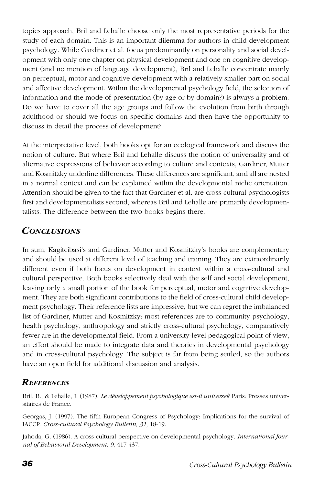topics approach, Bril and Lehalle choose only the most representative periods for the study of each domain. This is an important dilemma for authors in child development psychology. While Gardiner et al. focus predominantly on personality and social development with only one chapter on physical development and one on cognitive development (and no mention of language development), Bril and Lehalle concentrate mainly on perceptual, motor and cognitive development with a relatively smaller part on social and affective development. Within the developmental psychology field, the selection of information and the mode of presentation (by age or by domain?) is always a problem. Do we have to cover all the age groups and follow the evolution from birth through adulthood or should we focus on specific domains and then have the opportunity to discuss in detail the process of development?

At the interpretative level, both books opt for an ecological framework and discuss the notion of culture. But where Bril and Lehalle discuss the notion of universality and of alternative expressions of behavior according to culture and contexts, Gardiner, Mutter and Kosmitzky underline differences. These differences are significant, and all are nested in a normal context and can be explained within the developmental niche orientation. Attention should be given to the fact that Gardiner et al. are cross-cultural psychologists first and developmentalists second, whereas Bril and Lehalle are primarily developmentalists. The difference between the two books begins there.

### *CONCLUSIONS*

In sum, Kagitcibasi's and Gardiner, Mutter and Kosmitzky's books are complementary and should be used at different level of teaching and training. They are extraordinarily different even if both focus on development in context within a cross-cultural and cultural perspective. Both books selectively deal with the self and social development, leaving only a small portion of the book for perceptual, motor and cognitive development. They are both significant contributions to the field of cross-cultural child development psychology. Their reference lists are impressive, but we can regret the imbalanced list of Gardiner, Mutter and Kosmitzky: most references are to community psychology, health psychology, anthropology and strictly cross-cultural psychology, comparatively fewer are in the developmental field. From a university-level pedagogical point of view, an effort should be made to integrate data and theories in developmental psychology and in cross-cultural psychology. The subject is far from being settled, so the authors have an open field for additional discussion and analysis.

### *REFERENCES*

Bril, B., & Lehalle, J. (1987). *Le développement psychologique est-il universel*? Paris: Presses universitaires de France.

Georgas, J. (1997). The fifth European Congress of Psychology: Implications for the survival of IACCP. *Cross-cultural Psychology Bulletin, 31,* 18-19.

Jahoda, G. (1986). A cross-cultural perspective on developmental psychology. *International Journal of Behavioral Development, 9*, 417-437.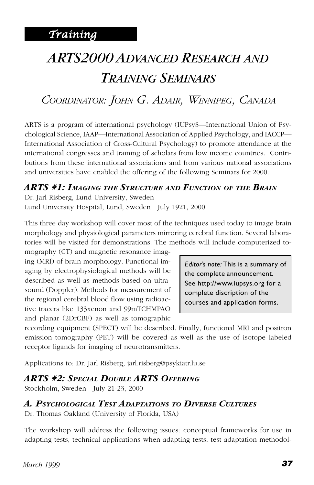# <span id="page-36-0"></span>*ARTS2000 ADVANCED RESEARCH AND TRAINING SEMINARS*

### *COORDINATOR: JOHN G. ADAIR, WINNIPEG, CANADA*

ARTS is a program of international psychology (IUPsyS—International Union of Psychological Science, IAAP—International Association of Applied Psychology, and IACCP— International Association of Cross-Cultural Psychology) to promote attendance at the international congresses and training of scholars from low income countries. Contributions from these international associations and from various national associations and universities have enabled the offering of the following Seminars for 2000:

#### *ARTS #1: IMAGING THE STRUCTURE AND FUNCTION OF THE BRAIN*

Dr. Jarl Risberg, Lund University, Sweden Lund University Hospital, Lund, Sweden July 1921, 2000

This three day workshop will cover most of the techniques used today to image brain morphology and physiological parameters mirroring cerebral function. Several laboratories will be visited for demonstrations. The methods will include computerized to-

mography (CT) and magnetic resonance imaging (MRI) of brain morphology. Functional imaging by electrophysiological methods will be described as well as methods based on ultrasound (Doppler). Methods for measurement of the regional cerebral blood flow using radioactive tracers like 133xenon and 99mTCHMPAO and planar (2DrCBF) as well as tomographic

*Editor's note:* This is a summary of the complete announcement. See http://www.iupsys.org for a complete discription of the courses and application forms.

recording equipment (SPECT) will be described. Finally, functional MRI and positron emission tomography (PET) will be covered as well as the use of isotope labeled receptor ligands for imaging of neurotransmitters.

Applications to: Dr. Jarl Risberg, jarl.risberg@psykiatr.lu.se

#### *ARTS #2: SPECIAL DOUBLE ARTS OFFERING*

Stockholm, Sweden July 21-23, 2000

#### *A. PSYCHOLOGICAL TEST ADAPTATIONS TO DIVERSE CULTURES*

Dr. Thomas Oakland (University of Florida, USA)

The workshop will address the following issues: conceptual frameworks for use in adapting tests, technical applications when adapting tests, test adaptation methodol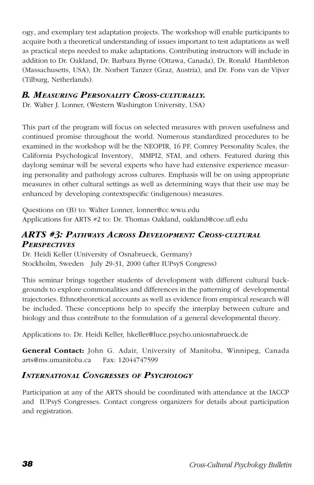ogy, and exemplary test adaptation projects. The workshop will enable participants to acquire both a theoretical understanding of issues important to test adaptations as well as practical steps needed to make adaptations. Contributing instructors will include in addition to Dr. Oakland, Dr. Barbara Byrne (Ottawa, Canada), Dr. Ronald Hambleton (Massachusetts, USA), Dr. Norbert Tanzer (Graz, Austria), and Dr. Fons van de Vijver (Tilburg, Netherlands).

#### *B. MEASURING PERSONALITY CROSS-CULTURALLY.*

Dr. Walter J. Lonner, (Western Washington University, USA)

This part of the program will focus on selected measures with proven usefulness and continued promise throughout the world. Numerous standardized procedures to be examined in the workshop will be the NEOPIR, 16 PF, Comrey Personality Scales, the California Psychological Inventory, MMPI2, STAI, and others. Featured during this daylong seminar will be several experts who have had extensive experience measuring personality and pathology across cultures. Emphasis will be on using appropriate measures in other cultural settings as well as determining ways that their use may be enhanced by developing contextspecific (indigenous) measures.

Questions on (B) to: Walter Lonner, lonner@cc.wwu.edu Applications for ARTS #2 to: Dr. Thomas Oakland, oakland@coe.ufl.edu

### *ARTS #3: PATHWAYS ACROSS DEVELOPMENT: CROSS-CULTURAL PERSPECTIVES*

Dr. Heidi Keller (University of Osnabrueck, Germany) Stockholm, Sweden July 29-31, 2000 (after IUPsyS Congress)

This seminar brings together students of development with different cultural backgrounds to explore commonalities and differences in the patterning of developmental trajectories. Ethnotheoretical accounts as well as evidence from empirical research will be included. These conceptions help to specify the interplay between culture and biology and thus contribute to the formulation of a general developmental theory.

Applications to: Dr. Heidi Keller, hkeller@luce.psycho.uniosnabrueck.de

**General Contact:** John G. Adair, University of Manitoba, Winnipeg, Canada arts@ms.umanitoba.ca Fax: 12044747599

#### *INTERNATIONAL CONGRESSES OF PSYCHOLOGY*

Participation at any of the ARTS should be coordinated with attendance at the IACCP and IUPsyS Congresses. Contact congress organizers for details about participation and registration.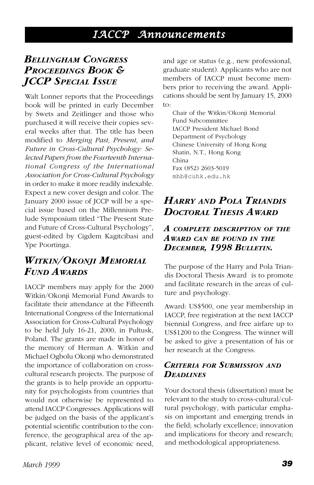### *IACCP Announcements*

### <span id="page-38-0"></span>*BELLINGHAM CONGRESS PROCEEDINGS BOOK & JCCP SPECIAL ISSUE*

Walt Lonner reports that the Proceedings book will be printed in early December by Swets and Zeitlinger and those who purchased it will receive their copies several weeks after that. The title has been modified to *Merging Past, Present, and Future in Cross-Cultural Psychology: Selected Papers from the Fourteenth International Congress of the International Association for Cross-Cultural Psychology* in order to make it more readily indexable. Expect a new cover design and color. The January 2000 issue of JCCP will be a special issue based on the Millennium Prelude Symposium titled "The Present State and Future of Cross-Cultural Psychology", guest-edited by Cigdem Kagitcibasi and Ype Poortinga.

### *WITKIN/OKONJI MEMORIAL FUND AWARDS*

IACCP members may apply for the 2000 Witkin/Okonji Memorial Fund Awards to facilitate their attendance at the Fifteenth International Congress of the International Association for Cross-Cultural Psychology to be held July 16-21, 2000, in Pultusk, Poland. The grants are made in honor of the memory of Herman A. Witkin and Michael Ogbolu Okonji who demonstrated the importance of collaboration on crosscultural research projects. The purpose of the grants is to help provide an opportunity for psychologists from countries that would not otherwise be represented to attend IACCP Congresses. Applications will be judged on the basis of the applicant's potential scientific contribution to the conference, the geographical area of the applicant, relative level of economic need,

and age or status (e.g., new professional, graduate student). Applicants who are not members of IACCP must become members prior to receiving the award. Applications should be sent by January 15, 2000 to:

Chair of the Witkin/Okonji Memorial Fund Subcommittee IACCP President Michael Bond Department of Psychology Chinese University of Hong Kong Shatin, N.T., Hong Kong China Fax (852) 2603-5019 mhb@cuhk.edu.hk

### *HARRY AND POLA TRIANDIS DOCTORAL THESIS AWARD*

#### *A COMPLETE DESCRIPTION OF THE AWARD CAN BE FOUND IN THE DECEMBER, 1998 BULLETIN.*

The purpose of the Harry and Pola Triandis Doctoral Thesis Award is to promote and facilitate research in the areas of culture and psychology.

Award: US\$500, one year membership in IACCP, free registration at the next IACCP biennial Congress, and free airfare up to US\$1200 to the Congress. The winner will be asked to give a presentation of his or her research at the Congress.

#### *CRITERIA FOR SUBMISSION AND DEADLINES*

Your doctoral thesis (dissertation) must be relevant to the study to cross-cultural/cultural psychology, with particular emphasis on important and emerging trends in the field; scholarly excellence; innovation and implications for theory and research; and methodological appropriateness.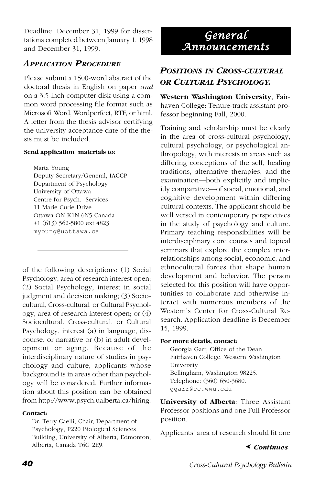<span id="page-39-0"></span>Deadline: December 31, 1999 for dissertations completed between January 1, 1998 and December 31, 1999.

### *APPLICATION PROCEDURE*

Please submit a 1500-word abstract of the doctoral thesis in English on paper *and* on a 3.5-inch computer disk using a common word processing file format such as Microsoft Word, Wordperfect, RTF, or html. A letter from the thesis advisor certifying the university acceptance date of the thesis must be included.

#### **Send application materials to:**

Marta Young Deputy Secretary/General, IACCP Department of Psychology University of Ottawa Centre for Psych. Services 11 Marie Curie Drive Ottawa ON K1N 6N5 Canada +1 (613) 562-5800 ext 4823 myoung@uottawa.ca

of the following descriptions: (1) Social Psychology, area of research interest open; (2) Social Psychology, interest in social judgment and decision making; (3) Sociocultural, Cross-cultural, or Cultural Psychology, area of research interest open; or (4) Sociocultural, Cross-cultural, or Cultural Psychology, interest (a) in language, discourse, or narrative or (b) in adult development or aging. Because of the interdisciplinary nature of studies in psychology and culture, applicants whose background is in areas other than psychology will be considered. Further information about this position can be obtained from http://www.psych.ualberta.ca/hiring.

#### **Contact:**

Dr. Terry Caelli, Chair, Department of Psychology, P220 Biological Sciences Building, University of Alberta, Edmonton, Alberta, Canada T6G 2E9. *Continues*

### *General Announcements*

### *POSITIONS IN CROSS-CULTURAL OR CULTURAL PSYCHOLOGY.*

**Western Washington University**, Fairhaven College: Tenure-track assistant professor beginning Fall, 2000.

Training and scholarship must be clearly in the area of cross-cultural psychology, cultural psychology, or psychological anthropology, with interests in areas such as differing conceptions of the self, healing traditions, alternative therapies, and the examination—both explicitly and implicitly comparative—of social, emotional, and cognitive development within differing cultural contexts. The applicant should be well versed in contemporary perspectives in the study of psychology and culture. Primary teaching responsibilities will be interdisciplinary core courses and topical seminars that explore the complex interrelationships among social, economic, and ethnocultural forces that shape human development and behavior. The person selected for this position will have opportunities to collaborate and otherwise interact with numerous members of the Western's Center for Cross-Cultural Research. Application deadline is December 15, 1999.

#### **For more details, contact:**

Georgia Garr, Office of the Dean Fairhaven College, Western Washington University Bellingham, Washington 98225. Telephone: (360) 650-3680. ggarr@cc.wwu.edu

**University of Alberta**: Three Assistant Professor positions and one Full Professor position.

Applicants' area of research should fit one

#### ➤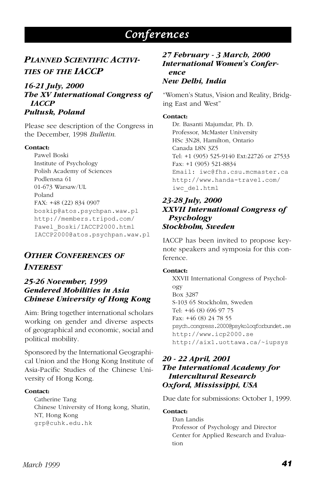### *Conferences*

### <span id="page-40-0"></span>*PLANNED SCIENTIFIC ACTIVI-TIES OF THE IACCP*

#### *16-21 July, 2000 The XV International Congress of IACCP Pultusk, Poland*

Please see description of the Congress in the December, 1998 *Bulletin*.

#### **Contact:**

Pawel Boski Institute of Psychology Polish Academy of Sciences Podlensna 61 01-673 Warsaw/UL Poland FAX: +48 (22) 834 0907 boskip@atos.psychpan.waw.pl http://members.tripod.com/ Pawel\_Boski/IACCP2000.html IACCP2000@atos.psychpan.waw.pl

### *OTHER CONFERENCES OF INTEREST*

#### *25-26 November, 1999 Gendered Mobilities in Asia Chinese University of Hong Kong*

Aim: Bring together international scholars working on gender and diverse aspects of geographical and economic, social and political mobility.

Sponsored by the International Geographical Union and the Hong Kong Institute of Asia-Pacific Studies of the Chinese University of Hong Kong.

#### **Contact:**

Catherine Tang Chinese University of Hong kong, Shatin, NT, Hong Kong grp@cuhk.edu.hk

#### *27 February - 3 March, 2000 International Women's Conference*

#### *New Delhi, India*

"Women's Status, Vision and Reality, Bridging East and West"

#### **Contact:**

Dr. Basanti Majumdar, Ph. D. Professor, McMaster University HSc 3N28, Hamilton, Ontario Canada L8N 3Z5 Tel: +1 (905) 525-9140 Ext:22726 or 27533 Fax: +1 (905) 521-8834 Email: iwc@fhs.csu.mcmaster.ca http://www.handa-travel.com/ iwc\_del.html

#### *23-28 July, 2000 XXVII International Congress of Psychology Stockholm, Sweden*

IACCP has been invited to propose keynote speakers and symposia for this conference.

#### **Contact:**

XXVII International Congress of Psychology Box 3287 S-103 65 Stockholm, Sweden Tel: +46 (8) 696 97 75 Fax: +46 (8) 24 78 55 psych.congress.2000@psykoloqforbundet.se http://www.icp2000.se http://aix1.uottawa.ca/~iupsys

#### *20 - 22 April, 2001 The International Academy for Intercultural Research Oxford, Mississippi, USA*

Due date for submissions: October 1, 1999.

#### **Contact:**

Dan Landis Professor of Psychology and Director Center for Applied Research and Evaluation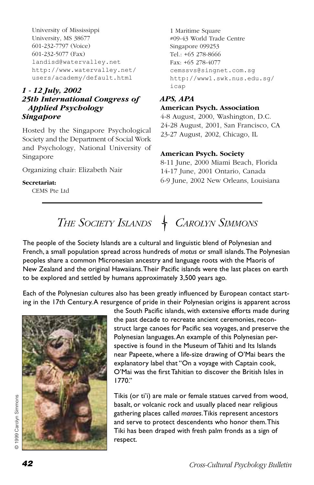<span id="page-41-0"></span>University of Mississippi University, MS 38677 601-232-7797 (Voice) 601-232-5077 (Fax) landisd@watervalley.net http://www.watervalley.net/ users/academy/default.html

#### *1 - 12 July, 2002 25th International Congress of Applied Psychology Singapore*

Hosted by the Singapore Psychological Society and the Department of Social Work and Psychology, National University of Singapore

Organizing chair: Elizabeth Nair

#### **Secretariat:**

CEMS Pte Ltd

1 Maritime Square #09-43 World Trade Centre Singapore 099253 Tel.: +65 278-8666 Fax: +65 278-4077 cemssvs@singnet.com.sg http://www1.swk.nus.edu.sg/ icap

#### *APS, APA*

#### **American Psych. Association**

4-8 August, 2000, Washington, D.C. 24-28 August, 2001, San Francisco, CA 23-27 August, 2002, Chicago, IL

#### **American Psych. Society**

8-11 June, 2000 Miami Beach, Florida 14-17 June, 2001 Ontario, Canada 6-9 June, 2002 New Orleans, Louisiana

# THE SOCIETY ISLANDS + CAROLYN SIMMONS

The people of the Society Islands are a cultural and linguistic blend of Polynesian and French, a small population spread across hundreds of *motus* or small islands. The Polynesian peoples share a common Micronesian ancestry and language roots with the Maoris of New Zealand and the original Hawaiians. Their Pacific islands were the last places on earth to be explored and settled by humans approximately 3,500 years ago.

Each of the Polynesian cultures also has been greatly influenced by European contact starting in the 17th Century. A resurgence of pride in their Polynesian origins is apparent across



the South Pacific islands, with extensive efforts made during the past decade to recreate ancient ceremonies, reconstruct large canoes for Pacific sea voyages, and preserve the Polynesian languages. An example of this Polynesian perspective is found in the Museum of Tahiti and Its Islands near Papeete, where a life-size drawing of O'Mai bears the explanatory label that "On a voyage with Captain cook, O'Mai was the first Tahitian to discover the British Isles in 1770."

Tikis (or ti'i) are male or female statues carved from wood, basalt, or volcanic rock and usually placed near religious gathering places called *maraes*. Tikis represent ancestors and serve to protect descendents who honor them. This Tiki has been draped with fresh palm fronds as a sign of respect.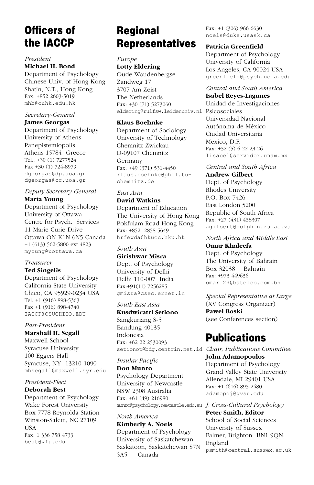### Officers of the IACCP

#### *President* **Michael H. Bond**

Department of Psychology Chinese Univ. of Hong Kong Shatin, N.T., Hong Kong Fax: +852 2603-5019 mhb@cuhk.edu.hk

#### *Secretary-General*

#### **James Georgas**

Department of Psychology University of Athens Panepistemiopolis Athens 15784 Greece Tel.: +30 (1) 7277524 Fax +30 (1) 724-8979 dgeorgas@dp.uoa.gr dgeorgas@cc.uoa.gr

#### *Deputy Secretary-General* **Marta Young**

Department of Psychology University of Ottawa Centre for Psych. Services 11 Marie Curie Drive Ottawa ON K1N 6N5 Canada +1 (613) 562-5800 ext 4823 myoung@uottawa.ca

#### *Treasurer*

#### **Ted Singelis**

Department of Psychology California State University Chico, CA 95929-0234 USA Tel. +1 (916) 898-5363 Fax +1 (916) 898-4740 IACCP@CSUCHICO.EDU

#### *Past-President*

#### **Marshall H. Segall**

Maxwell School Syracuse University 100 Eggers Hall Syracuse, NY 13210-1090 mhsegall@maxwell.syr.edu

#### *President-Elect*

#### **Deborah Best**

Department of Psychology Wake Forest University Box 7778 Reynolda Station Winston-Salem, NC 27109 **TISA** Fax: 1 336 758 4733 best@wfu.edu

### Regional Representatives

*Europe* **Lotty Eldering** Oude Woudenbergse Zandweg 17 3707 Am Zeist The Netherlands Fax: +30 (71) 5273060 eldering@rulfsw.leidenuniv.nl Psicosociales

#### **Klaus Boehnke**

Department of Sociology University of Technology Chemnitz-Zwickau D-09107 Chemnitz

Germany Fax: +49 (371) 531-4450 klaus.boehnke@phil.tuchemnitz.de

#### *East Asia*

**David Watkins** Department of Education The University of Hong Kong Pokfulam Road Hong Kong Fax: +852 2858 5649 hrfewda@hkucc.hku.hk

#### *South Asia*

**Girishwar Misra** Dept. of Psychology University of Delhi

Delhi 110-007 India Fax:+91(11) 7256285 gmisra@csec.ernet.in

#### *South East Asia*

**Kusdwiratri Setiono** Sangkuriang S-5 Bandung 40135 Indonesia Fax: +62 22 2530093

#### *Insular Pacific*

#### **Don Munro**

Psychology Department University of Newcastle NSW 2308 Australia Fax: +61 (49) 216980 munro@psychology.newcastle.edu.au *J. Cross-Cultural Psychology*

*North America* **Kimberly A. Noels** Department of Psychology University of Saskatchewan Saskatoon, Saskatchewan S7N 5A5 Canada

Fax: +1 (306) 966 6630 noels@duke.usask.ca

#### **Patricia Greenfield**

Department of Psychology University of California Los Angeles, CA 90024 USA greenfield@psych.ucla.edu

#### *Central and South America*

**Isabel Reyes-Lagunes** Unidad de Investigaciones Universidad Nacional Autónoma de México Ciudad Universitaria Mexico, D.F. Fax: +52 (5) 6 22 23 26 lisabel@servidor.unam.mx

#### *Central and South Africa*

**Andrew Gilbert** Dept. of Psychology Rhodes University P.O. Box 7426 East London 5200 Republic of South Africa Fax: +27 (431) 438307 agilbert@dolphin.ru.ac.za

#### *North Africa and Middle East*

**Omar Khaleefa** Dept. of Psychology The University of Bahrain Box 32038 Bahrain Fax: +973 449636 omar123@batelco.com.bh

*Special Representative at Large* (XV Congress Organizer) **Pawel Boski** (see Conferences section)

### **Publications**

setionot@bdg.centrin.net.id *Chair, Publications Committee* **John Adamopoulos** Department of Psychology Grand Valley State University Allendale, MI 29401 USA Fax: +1 (616) 895-2480 adamopoj@gvsu.edu

> **Peter Smith, Editor** School of Social Sciences University of Sussex Falmer, Brighton BN1 9QN, England psmith@central.sussex.ac.uk